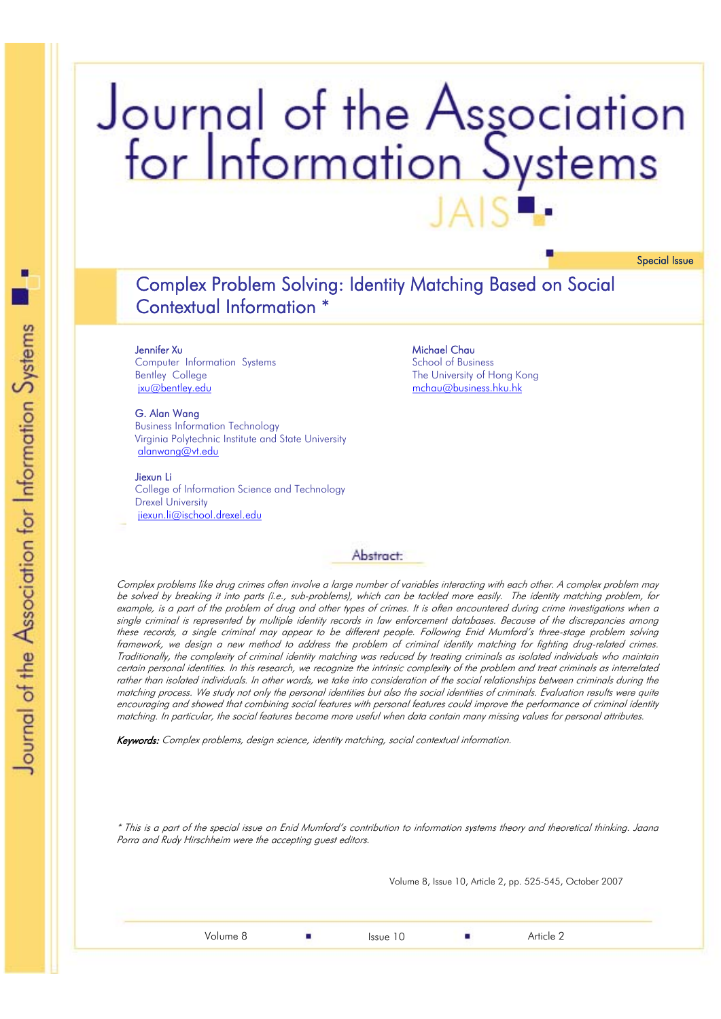# Journal of the Association for Information Systems **JAS**

Special Issue

# Complex Problem Solving: Identity Matching Based on Social Contextual Information \*

**Jennifer Xu**<br>Computer Information Systems Bentley College jxu@bentley.edu

**G. Alan Wang**<br>Business Information Technology Virginia Polytechnic Institute and State University alanwang@vt.edu

**Jiexun Li**<br>College of Information Science and Technology Drexel University jiexun.li@ischool.drexel.edu

# Michael Chau<br>School of Business The University of Hong Kong mchau@business.hku.hk

#### Abstract:

Complex problems like drug crimes often involve a large number of variables interacting with each other. A complex problem may be solved by breaking it into parts (i.e., sub-problems), which can be tackled more easily. The identity matching problem, for example, is a part of the problem of drug and other types of crimes. It is often encountered during crime investigations when a single criminal is represented by multiple identity records in law enforcement databases. Because of the discrepancies among these records, a single criminal may appear to be different people. Following Enid Mumford's three-stage problem solving framework, we design a new method to address the problem of criminal identity matching for fighting drug-related crimes. Traditionally, the complexity of criminal identity matching was reduced by treating criminals as isolated individuals who maintain certain personal identities. In this research, we recognize the intrinsic complexity of the problem and treat criminals as interrelated rather than isolated individuals. In other words, we take into consideration of the social relationships between criminals during the matching process. We study not only the personal identities but also the social identities of criminals. Evaluation results were quite encouraging and showed that combining social features with personal features could improve the performance of criminal identity matching. In particular, the social features become more useful when data contain many missing values for personal attributes.

Keywords: Complex problems, design science, identity matching, social contextual information.

\* This is a part of the special issue on Enid Mumford's contribution to information systems theory and theoretical thinking. Jaana Porra and Rudy Hirschheim were the accepting guest editors.

Volume 8, Issue 10, Article 2, pp. 525-545, October 2007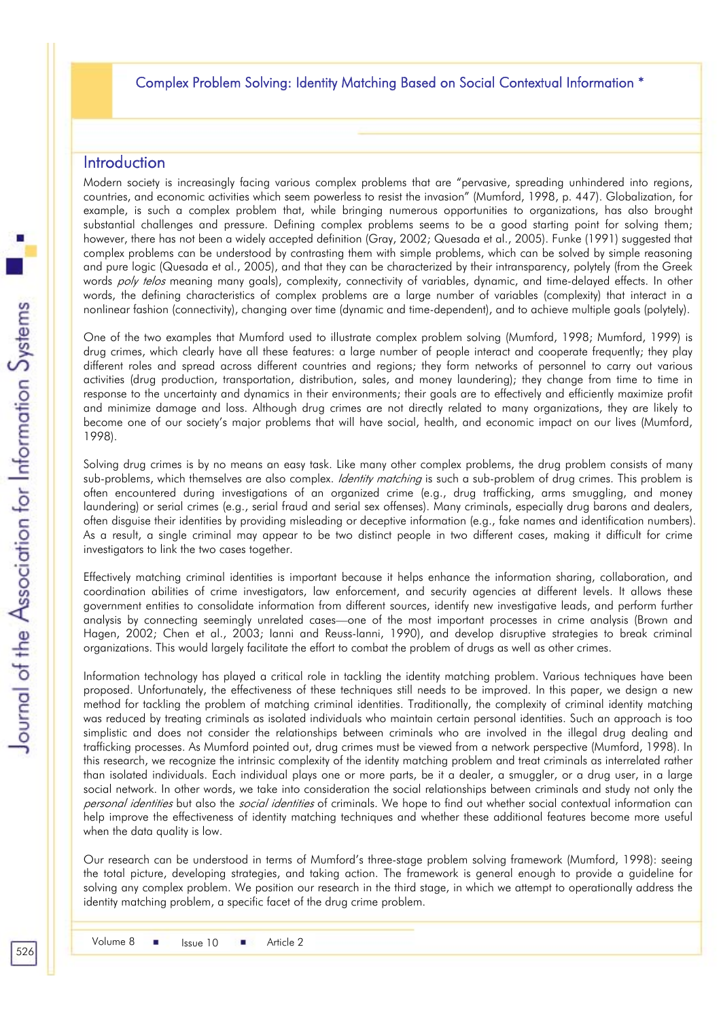## Complex Problem Solving: Identity Matching Based on Social Contextual Information \*

## **Introduction**

Modern society is increasingly facing various complex problems that are "pervasive, spreading unhindered into regions, countries, and economic activities which seem powerless to resist the invasion" (Mumford, 1998, p. 447). Globalization, for example, is such a complex problem that, while bringing numerous opportunities to organizations, has also brought substantial challenges and pressure. Defining complex problems seems to be a good starting point for solving them; however, there has not been a widely accepted definition (Gray, 2002; Quesada et al., 2005). Funke (1991) suggested that complex problems can be understood by contrasting them with simple problems, which can be solved by simple reasoning and pure logic (Quesada et al., 2005), and that they can be characterized by their intransparency, polytely (from the Greek words *poly telos* meaning many goals), complexity, connectivity of variables, dynamic, and time-delayed effects. In other words, the defining characteristics of complex problems are a large number of variables (complexity) that interact in a nonlinear fashion (connectivity), changing over time (dynamic and time-dependent), and to achieve multiple goals (polytely).

One of the two examples that Mumford used to illustrate complex problem solving (Mumford, 1998; Mumford, 1999) is drug crimes, which clearly have all these features: a large number of people interact and cooperate frequently; they play different roles and spread across different countries and regions; they form networks of personnel to carry out various activities (drug production, transportation, distribution, sales, and money laundering); they change from time to time in response to the uncertainty and dynamics in their environments; their goals are to effectively and efficiently maximize profit and minimize damage and loss. Although drug crimes are not directly related to many organizations, they are likely to become one of our society's major problems that will have social, health, and economic impact on our lives (Mumford, 1998).

Solving drug crimes is by no means an easy task. Like many other complex problems, the drug problem consists of many sub-problems, which themselves are also complex. *Identity matching* is such a sub-problem of drug crimes. This problem is often encountered during investigations of an organized crime (e.g., drug trafficking, arms smuggling, and money laundering) or serial crimes (e.g., serial fraud and serial sex offenses). Many criminals, especially drug barons and dealers, often disguise their identities by providing misleading or deceptive information (e.g., fake names and identification numbers). As a result, a single criminal may appear to be two distinct people in two different cases, making it difficult for crime investigators to link the two cases together.

Effectively matching criminal identities is important because it helps enhance the information sharing, collaboration, and coordination abilities of crime investigators, law enforcement, and security agencies at different levels. It allows these government entities to consolidate information from different sources, identify new investigative leads, and perform further analysis by connecting seemingly unrelated cases—one of the most important processes in crime analysis (Brown and Hagen, 2002; Chen et al., 2003; Ianni and Reuss-lanni, 1990), and develop disruptive strategies to break criminal organizations. This would largely facilitate the effort to combat the problem of drugs as well as other crimes.

Information technology has played a critical role in tackling the identity matching problem. Various techniques have been proposed. Unfortunately, the effectiveness of these techniques still needs to be improved. In this paper, we design a new method for tackling the problem of matching criminal identities. Traditionally, the complexity of criminal identity matching was reduced by treating criminals as isolated individuals who maintain certain personal identities. Such an approach is too simplistic and does not consider the relationships between criminals who are involved in the illegal drug dealing and trafficking processes. As Mumford pointed out, drug crimes must be viewed from a network perspective (Mumford, 1998). In this research, we recognize the intrinsic complexity of the identity matching problem and treat criminals as interrelated rather than isolated individuals. Each individual plays one or more parts, be it a dealer, a smuggler, or a drug user, in a large social network. In other words, we take into consideration the social relationships between criminals and study not only the personal identities but also the *social identities* of criminals. We hope to find out whether social contextual information can help improve the effectiveness of identity matching techniques and whether these additional features become more useful when the data quality is low.

Our research can be understood in terms of Mumford's three-stage problem solving framework (Mumford, 1998): seeing the total picture, developing strategies, and taking action. The framework is general enough to provide a guideline for solving any complex problem. We position our research in the third stage, in which we attempt to operationally address the identity matching problem, a specific facet of the drug crime problem.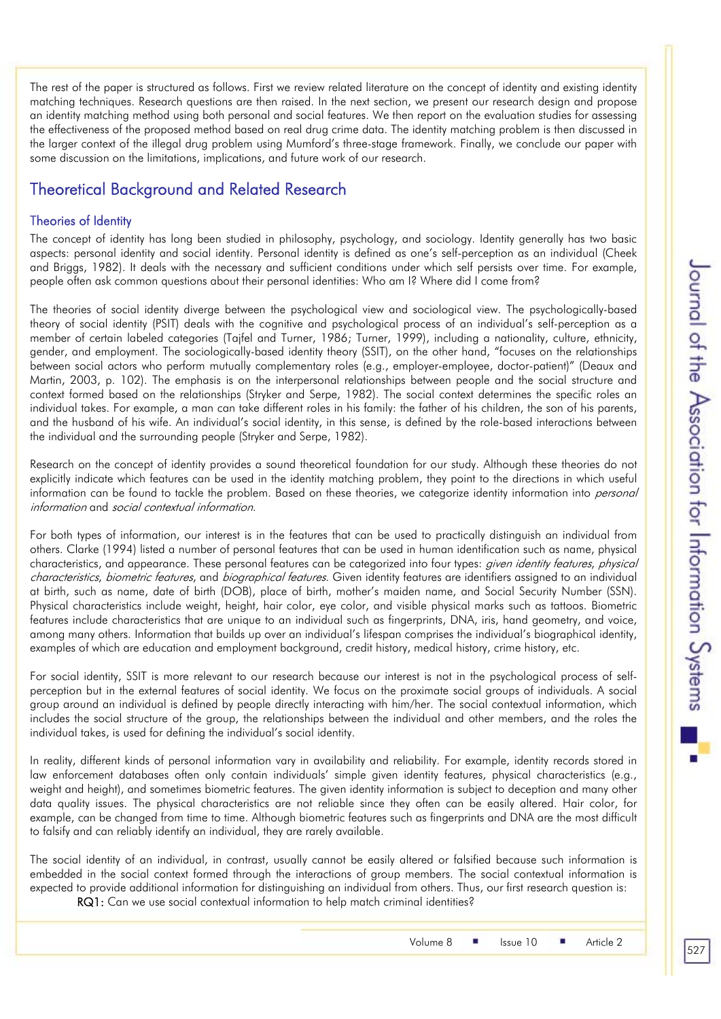The rest of the paper is structured as follows. First we review related literature on the concept of identity and existing identity matching techniques. Research questions are then raised. In the next section, we present our research design and propose an identity matching method using both personal and social features. We then report on the evaluation studies for assessing the effectiveness of the proposed method based on real drug crime data. The identity matching problem is then discussed in the larger context of the illegal drug problem using Mumford's three-stage framework. Finally, we conclude our paper with some discussion on the limitations, implications, and future work of our research.

# Theoretical Background and Related Research

#### Theories of Identity

The concept of identity has long been studied in philosophy, psychology, and sociology. Identity generally has two basic aspects: personal identity and social identity. Personal identity is defined as one's self-perception as an individual (Cheek and Briggs, 1982). It deals with the necessary and sufficient conditions under which self persists over time. For example, people often ask common questions about their personal identities: Who am I? Where did I come from?

The theories of social identity diverge between the psychological view and sociological view. The psychologically-based theory of social identity (PSIT) deals with the cognitive and psychological process of an individual's self-perception as a member of certain labeled categories (Tajfel and Turner, 1986; Turner, 1999), including a nationality, culture, ethnicity, gender, and employment. The sociologically-based identity theory (SSIT), on the other hand, "focuses on the relationships between social actors who perform mutually complementary roles (e.g., employer-employee, doctor-patient)" (Deaux and Martin, 2003, p. 102). The emphasis is on the interpersonal relationships between people and the social structure and context formed based on the relationships (Stryker and Serpe, 1982). The social context determines the specific roles an individual takes. For example, a man can take different roles in his family: the father of his children, the son of his parents, and the husband of his wife. An individual's social identity, in this sense, is defined by the role-based interactions between the individual and the surrounding people (Stryker and Serpe, 1982).

Research on the concept of identity provides a sound theoretical foundation for our study. Although these theories do not explicitly indicate which features can be used in the identity matching problem, they point to the directions in which useful information can be found to tackle the problem. Based on these theories, we categorize identity information into *personal* information and social contextual information.

For both types of information, our interest is in the features that can be used to practically distinguish an individual from others. Clarke (1994) listed a number of personal features that can be used in human identification such as name, physical characteristics, and appearance. These personal features can be categorized into four types: *given identity features, physical* characteristics, biometric features, and biographical features. Given identity features are identifiers assigned to an individual at birth, such as name, date of birth (DOB), place of birth, mother's maiden name, and Social Security Number (SSN). Physical characteristics include weight, height, hair color, eye color, and visible physical marks such as tattoos. Biometric features include characteristics that are unique to an individual such as fingerprints, DNA, iris, hand geometry, and voice, among many others. Information that builds up over an individual's lifespan comprises the individual's biographical identity, examples of which are education and employment background, credit history, medical history, crime history, etc.

For social identity, SSIT is more relevant to our research because our interest is not in the psychological process of selfperception but in the external features of social identity. We focus on the proximate social groups of individuals. A social group around an individual is defined by people directly interacting with him/her. The social contextual information, which includes the social structure of the group, the relationships between the individual and other members, and the roles the individual takes, is used for defining the individual's social identity.

In reality, different kinds of personal information vary in availability and reliability. For example, identity records stored in law enforcement databases often only contain individuals' simple given identity features, physical characteristics (e.g., weight and height), and sometimes biometric features. The given identity information is subject to deception and many other data quality issues. The physical characteristics are not reliable since they often can be easily altered. Hair color, for example, can be changed from time to time. Although biometric features such as fingerprints and DNA are the most difficult to falsify and can reliably identify an individual, they are rarely available.

The social identity of an individual, in contrast, usually cannot be easily altered or falsified because such information is embedded in the social context formed through the interactions of group members. The social contextual information is expected to provide additional information for distinguishing an individual from others. Thus, our first research question is: RQ1: Can we use social contextual information to help match criminal identities?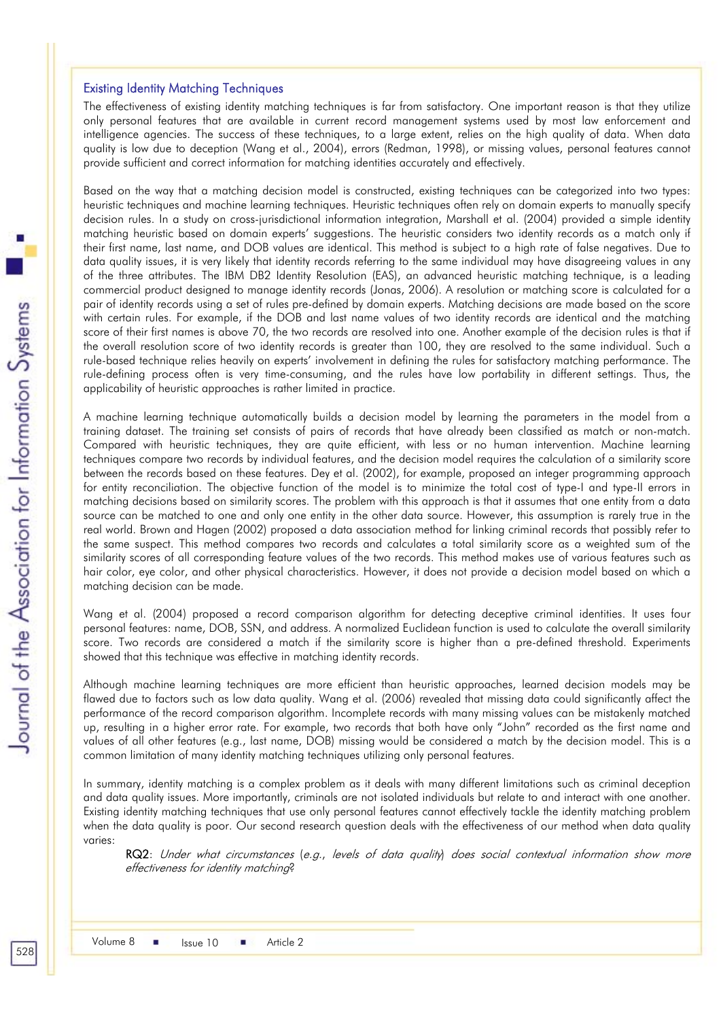#### Existing Identity Matching Techniques

The effectiveness of existing identity matching techniques is far from satisfactory. One important reason is that they utilize only personal features that are available in current record management systems used by most law enforcement and intelligence agencies. The success of these techniques, to a large extent, relies on the high quality of data. When data quality is low due to deception (Wang et al., 2004), errors (Redman, 1998), or missing values, personal features cannot provide sufficient and correct information for matching identities accurately and effectively.

Based on the way that a matching decision model is constructed, existing techniques can be categorized into two types: heuristic techniques and machine learning techniques. Heuristic techniques often rely on domain experts to manually specify decision rules. In a study on cross-jurisdictional information integration, Marshall et al. (2004) provided a simple identity matching heuristic based on domain experts' suggestions. The heuristic considers two identity records as a match only if their first name, last name, and DOB values are identical. This method is subject to a high rate of false negatives. Due to data quality issues, it is very likely that identity records referring to the same individual may have disagreeing values in any of the three attributes. The IBM DB2 Identity Resolution (EAS), an advanced heuristic matching technique, is a leading commercial product designed to manage identity records (Jonas, 2006). A resolution or matching score is calculated for a pair of identity records using a set of rules pre-defined by domain experts. Matching decisions are made based on the score with certain rules. For example, if the DOB and last name values of two identity records are identical and the matching score of their first names is above 70, the two records are resolved into one. Another example of the decision rules is that if the overall resolution score of two identity records is greater than 100, they are resolved to the same individual. Such a rule-based technique relies heavily on experts' involvement in defining the rules for satisfactory matching performance. The rule-defining process often is very time-consuming, and the rules have low portability in different settings. Thus, the applicability of heuristic approaches is rather limited in practice.

A machine learning technique automatically builds a decision model by learning the parameters in the model from a training dataset. The training set consists of pairs of records that have already been classified as match or non-match. Compared with heuristic techniques, they are quite efficient, with less or no human intervention. Machine learning techniques compare two records by individual features, and the decision model requires the calculation of a similarity score between the records based on these features. Dey et al. (2002), for example, proposed an integer programming approach for entity reconciliation. The objective function of the model is to minimize the total cost of type-I and type-II errors in matching decisions based on similarity scores. The problem with this approach is that it assumes that one entity from a data source can be matched to one and only one entity in the other data source. However, this assumption is rarely true in the real world. Brown and Hagen (2002) proposed a data association method for linking criminal records that possibly refer to the same suspect. This method compares two records and calculates a total similarity score as a weighted sum of the similarity scores of all corresponding feature values of the two records. This method makes use of various features such as hair color, eye color, and other physical characteristics. However, it does not provide a decision model based on which a matching decision can be made.

Wang et al. (2004) proposed a record comparison algorithm for detecting deceptive criminal identities. It uses four personal features: name, DOB, SSN, and address. A normalized Euclidean function is used to calculate the overall similarity score. Two records are considered a match if the similarity score is higher than a pre-defined threshold. Experiments showed that this technique was effective in matching identity records.

Although machine learning techniques are more efficient than heuristic approaches, learned decision models may be flawed due to factors such as low data quality. Wang et al. (2006) revealed that missing data could significantly affect the performance of the record comparison algorithm. Incomplete records with many missing values can be mistakenly matched up, resulting in a higher error rate. For example, two records that both have only "John" recorded as the first name and values of all other features (e.g., last name, DOB) missing would be considered a match by the decision model. This is a common limitation of many identity matching techniques utilizing only personal features.

In summary, identity matching is a complex problem as it deals with many different limitations such as criminal deception and data quality issues. More importantly, criminals are not isolated individuals but relate to and interact with one another. Existing identity matching techniques that use only personal features cannot effectively tackle the identity matching problem when the data quality is poor. Our second research question deals with the effectiveness of our method when data quality varies:

RQ2: Under what circumstances (e.g., levels of data quality) does social contextual information show more effectiveness for identity matching?

t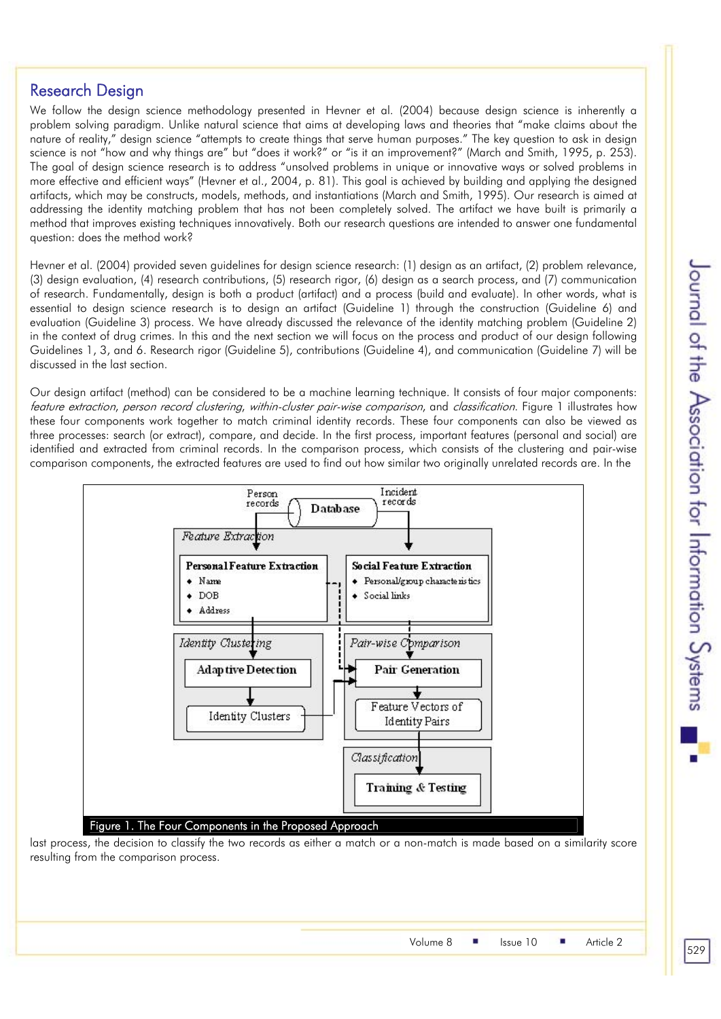# Research Design

We follow the design science methodology presented in Hevner et al. (2004) because design science is inherently a problem solving paradigm. Unlike natural science that aims at developing laws and theories that "make claims about the nature of reality," design science "attempts to create things that serve human purposes." The key question to ask in design science is not "how and why things are" but "does it work?" or "is it an improvement?" (March and Smith, 1995, p. 253). The goal of design science research is to address "unsolved problems in unique or innovative ways or solved problems in more effective and efficient ways" (Hevner et al., 2004, p. 81). This goal is achieved by building and applying the designed artifacts, which may be constructs, models, methods, and instantiations (March and Smith, 1995). Our research is aimed at addressing the identity matching problem that has not been completely solved. The artifact we have built is primarily a method that improves existing techniques innovatively. Both our research questions are intended to answer one fundamental question: does the method work?

Hevner et al. (2004) provided seven guidelines for design science research: (1) design as an artifact, (2) problem relevance, (3) design evaluation, (4) research contributions, (5) research rigor, (6) design as a search process, and (7) communication of research. Fundamentally, design is both a product (artifact) and a process (build and evaluate). In other words, what is essential to design science research is to design an artifact (Guideline 1) through the construction (Guideline 6) and evaluation (Guideline 3) process. We have already discussed the relevance of the identity matching problem (Guideline 2) in the context of drug crimes. In this and the next section we will focus on the process and product of our design following Guidelines 1, 3, and 6. Research rigor (Guideline 5), contributions (Guideline 4), and communication (Guideline 7) will be discussed in the last section.

Our design artifact (method) can be considered to be a machine learning technique. It consists of four major components: feature extraction, person record clustering, within-cluster pair-wise comparison, and classification. Figure 1 illustrates how these four components work together to match criminal identity records. These four components can also be viewed as three processes: search (or extract), compare, and decide. In the first process, important features (personal and social) are identified and extracted from criminal records. In the comparison process, which consists of the clustering and pair-wise comparison components, the extracted features are used to find out how similar two originally unrelated records are. In the



last process, the decision to classify the two records as either a match or a non-match is made based on a similarity score resulting from the comparison process.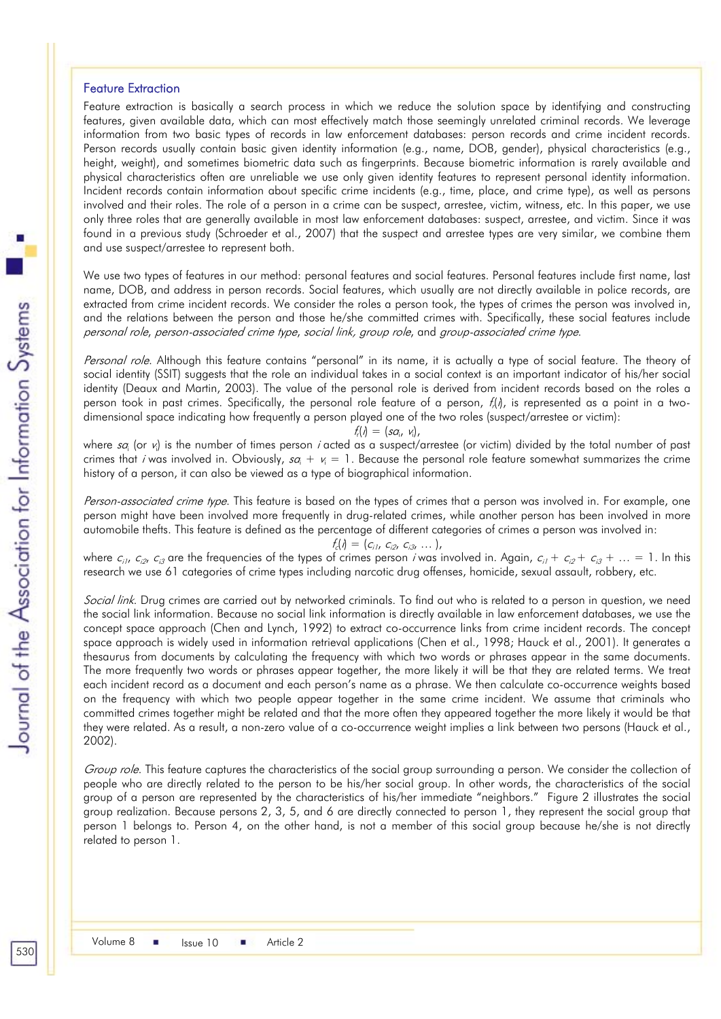#### Feature Extraction

Feature extraction is basically a search process in which we reduce the solution space by identifying and constructing features, given available data, which can most effectively match those seemingly unrelated criminal records. We leverage information from two basic types of records in law enforcement databases: person records and crime incident records. Person records usually contain basic given identity information (e.g., name, DOB, gender), physical characteristics (e.g., height, weight), and sometimes biometric data such as fingerprints. Because biometric information is rarely available and physical characteristics often are unreliable we use only given identity features to represent personal identity information. Incident records contain information about specific crime incidents (e.g., time, place, and crime type), as well as persons involved and their roles. The role of a person in a crime can be suspect, arrestee, victim, witness, etc. In this paper, we use only three roles that are generally available in most law enforcement databases: suspect, arrestee, and victim. Since it was found in a previous study (Schroeder et al., 2007) that the suspect and arrestee types are very similar, we combine them and use suspect/arrestee to represent both.

We use two types of features in our method: personal features and social features. Personal features include first name, last name, DOB, and address in person records. Social features, which usually are not directly available in police records, are extracted from crime incident records. We consider the roles a person took, the types of crimes the person was involved in, and the relations between the person and those he/she committed crimes with. Specifically, these social features include personal role, person-associated crime type, social link, group role, and group-associated crime type.

Personal role. Although this feature contains "personal" in its name, it is actually a type of social feature. The theory of social identity (SSIT) suggests that the role an individual takes in a social context is an important indicator of his/her social identity (Deaux and Martin, 2003). The value of the personal role is derived from incident records based on the roles a person took in past crimes. Specifically, the personal role feature of a person,  $f_i(t)$ , is represented as a point in a twodimensional space indicating how frequently a person played one of the two roles (suspect/arrestee or victim):

$$
f_i(\eta) = (s a_i, v_i),
$$

where sa<sub>i</sub> (or v<sub>i</sub>) is the number of times person *i* acted as a suspect/arrestee (or victim) divided by the total number of past crimes that *i* was involved in. Obviously,  $sa_i + v_i = 1$ . Because the personal role feature somewhat summarizes the crime history of a person, it can also be viewed as a type of biographical information.

Person-associated crime type. This feature is based on the types of crimes that a person was involved in. For example, one person might have been involved more frequently in drug-related crimes, while another person has been involved in more automobile thefts. This feature is defined as the percentage of different categories of crimes a person was involved in:

$$
f_c(1) = (c_{i1}, c_{i2}, c_{i3}, \ldots),
$$

where  $c_{i1}$ ,  $c_{i2}$ ,  $c_{i3}$  are the frequencies of the types of crimes person *i* was involved in. Again,  $c_{i1} + c_{i2} + c_{i3} + ... = 1$ . In this research we use 61 categories of crime types including narcotic drug offenses, homicide, sexual assault, robbery, etc.

Social link. Drug crimes are carried out by networked criminals. To find out who is related to a person in question, we need the social link information. Because no social link information is directly available in law enforcement databases, we use the concept space approach (Chen and Lynch, 1992) to extract co-occurrence links from crime incident records. The concept space approach is widely used in information retrieval applications (Chen et al., 1998; Hauck et al., 2001). It generates a thesaurus from documents by calculating the frequency with which two words or phrases appear in the same documents. The more frequently two words or phrases appear together, the more likely it will be that they are related terms. We treat each incident record as a document and each person's name as a phrase. We then calculate co-occurrence weights based on the frequency with which two people appear together in the same crime incident. We assume that criminals who committed crimes together might be related and that the more often they appeared together the more likely it would be that they were related. As a result, a non-zero value of a co-occurrence weight implies a link between two persons (Hauck et al., 2002).

Group role. This feature captures the characteristics of the social group surrounding a person. We consider the collection of people who are directly related to the person to be his/her social group. In other words, the characteristics of the social group of a person are represented by the characteristics of his/her immediate "neighbors." Figure 2 illustrates the social group realization. Because persons 2, 3, 5, and 6 are directly connected to person 1, they represent the social group that person 1 belongs to. Person 4, on the other hand, is not a member of this social group because he/she is not directly related to person 1.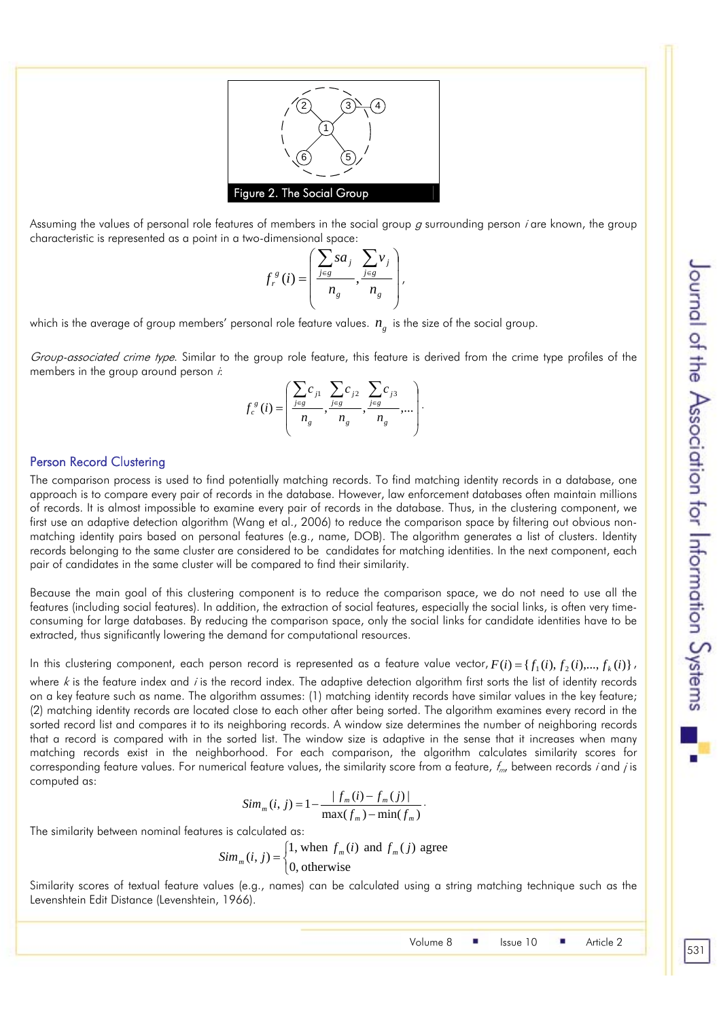

Assuming the values of personal role features of members in the social group  $q$  surrounding person *i* are known, the group characteristic is represented as a point in a two-dimensional space:

$$
f_r^{\,g}(i) = \left(\frac{\sum_{j\in g} s a_j}{n_g}, \frac{\sum_{j\in g} \nu_j}{n_g}\right),\,
$$

which is the average of group members' personal role feature values.  $n_e$  is the size of the social group.

Group-associated crime type. Similar to the group role feature, this feature is derived from the crime type profiles of the members in the group around person *:* 

$$
f_c^{\,g}(i) = \left(\frac{\sum_{j\in g} c_{j1}}{n_g}, \frac{\sum_{j\in g} c_{j2}}{n_g}, \frac{\sum_{j\in g} c_{j3}}{n_g}, \ldots\right).
$$

#### Person Record Clustering

The comparison process is used to find potentially matching records. To find matching identity records in a database, one approach is to compare every pair of records in the database. However, law enforcement databases often maintain millions of records. It is almost impossible to examine every pair of records in the database. Thus, in the clustering component, we first use an adaptive detection algorithm (Wang et al., 2006) to reduce the comparison space by filtering out obvious nonmatching identity pairs based on personal features (e.g., name, DOB). The algorithm generates a list of clusters. Identity records belonging to the same cluster are considered to be candidates for matching identities. In the next component, each pair of candidates in the same cluster will be compared to find their similarity.

Because the main goal of this clustering component is to reduce the comparison space, we do not need to use all the features (including social features). In addition, the extraction of social features, especially the social links, is often very timeconsuming for large databases. By reducing the comparison space, only the social links for candidate identities have to be extracted, thus significantly lowering the demand for computational resources.

In this clustering component, each person record is represented as a feature value vector,  $F(i) = {f_1(i), f_2(i), ..., f_k(i)}$ , where  $k$  is the feature index and *i* is the record index. The adaptive detection algorithm first sorts the list of identity records on a key feature such as name. The algorithm assumes: (1) matching identity records have similar values in the key feature; (2) matching identity records are located close to each other after being sorted. The algorithm examines every record in the sorted record list and compares it to its neighboring records. A window size determines the number of neighboring records that a record is compared with in the sorted list. The window size is adaptive in the sense that it increases when many matching records exist in the neighborhood. For each comparison, the algorithm calculates similarity scores for corresponding feature values. For numerical feature values, the similarity score from a feature,  $f_m$ , between records *i* and *j* is computed as:

$$
Sim_m(i, j) = 1 - \frac{|f_m(i) - f_m(j)|}{\max(f_m) - \min(f_m)}.
$$

The similarity between nominal features is calculated as:

$$
Sim_m(i, j) = \begin{cases} 1, \text{ when } f_m(i) \text{ and } f_m(j) \text{ agree} \\ 0, \text{ otherwise} \end{cases}
$$

Similarity scores of textual feature values (e.g., names) can be calculated using a string matching technique such as the Levenshtein Edit Distance (Levenshtein, 1966).

Volume 8 | Issue 10 | Article 2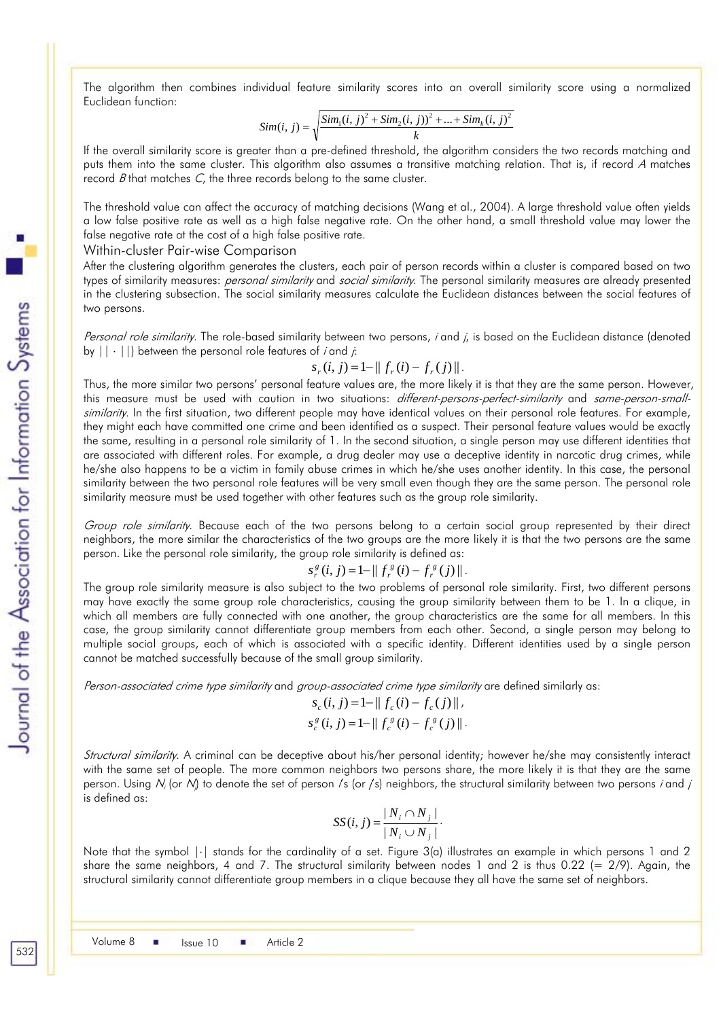The algorithm then combines individual feature similarity scores into an overall similarity score using a normalized Euclidean function:

$$
Sim(i, j) = \sqrt{\frac{Sim_1(i, j)^2 + Sim_2(i, j))^2 + ... + Sim_k(i, j)^2}{k}}
$$

If the overall similarity score is greater than a pre-defined threshold, the algorithm considers the two records matching and puts them into the same cluster. This algorithm also assumes a transitive matching relation. That is, if record A matches record  $B$  that matches  $C$ , the three records belong to the same cluster.

The threshold value can affect the accuracy of matching decisions (Wang et al., 2004). A large threshold value often yields a low false positive rate as well as a high false negative rate. On the other hand, a small threshold value may lower the false negative rate at the cost of a high false positive rate.

Within-cluster Pair-wise Comparison

After the clustering algorithm generates the clusters, each pair of person records within a cluster is compared based on two types of similarity measures: *personal similarity* and *social similarity*. The personal similarity measures are already presented in the clustering subsection. The social similarity measures calculate the Euclidean distances between the social features of two persons.

Personal role similarity. The role-based similarity between two persons, i and i, is based on the Euclidean distance (denoted by  $|| \cdot ||$  between the personal role features of *i* and *j*:

#### $s_r(i, j) = 1 - || f_r(i) - f_r(j) ||$ .

Thus, the more similar two persons' personal feature values are, the more likely it is that they are the same person. However, this measure must be used with caution in two situations: different-persons-perfect-similarity and same-person-smallsimilarity. In the first situation, two different people may have identical values on their personal role features. For example, they might each have committed one crime and been identified as a suspect. Their personal feature values would be exactly the same, resulting in a personal role similarity of 1. In the second situation, a single person may use different identities that are associated with different roles. For example, a drug dealer may use a deceptive identity in narcotic drug crimes, while he/she also happens to be a victim in family abuse crimes in which he/she uses another identity. In this case, the personal similarity between the two personal role features will be very small even though they are the same person. The personal role similarity measure must be used together with other features such as the group role similarity.

Group role similarity. Because each of the two persons belong to a certain social group represented by their direct neighbors, the more similar the characteristics of the two groups are the more likely it is that the two persons are the same person. Like the personal role similarity, the group role similarity is defined as:

$$
s_r^g(i, j) = 1 - || f_r^g(i) - f_r^g(j) ||.
$$

The group role similarity measure is also subject to the two problems of personal role similarity. First, two different persons may have exactly the same group role characteristics, causing the group similarity between them to be 1. In a clique, in which all members are fully connected with one another, the group characteristics are the same for all members. In this case, the group similarity cannot differentiate group members from each other. Second, a single person may belong to multiple social groups, each of which is associated with a specific identity. Different identities used by a single person cannot be matched successfully because of the small group similarity.

Person-associated crime type similarity and group-associated crime type similarity are defined similarly as:

$$
s_c(i, j) = 1 - || f_c(i) - f_c(j) ||,
$$
  
\n
$$
s_c^s(i, j) = 1 - || f_c^s(i) - f_c^s(j) ||.
$$

Structural similarity. A criminal can be deceptive about his/her personal identity; however he/she may consistently interact with the same set of people. The more common neighbors two persons share, the more likely it is that they are the same person. Using  $N_i$  (or  $N_j$  to denote the set of person /s (or /s) neighbors, the structural similarity between two persons *i* and *j* is defined as:

$$
SS(i, j) = \frac{|N_i \cap N_j|}{|N_i \cup N_j|}.
$$

Note that the symbol |⋅| stands for the cardinality of a set. Figure 3(a) illustrates an example in which persons 1 and 2 share the same neighbors, 4 and 7. The structural similarity between nodes 1 and 2 is thus 0.22 (=  $2/9$ ). Again, the structural similarity cannot differentiate group members in a clique because they all have the same set of neighbors.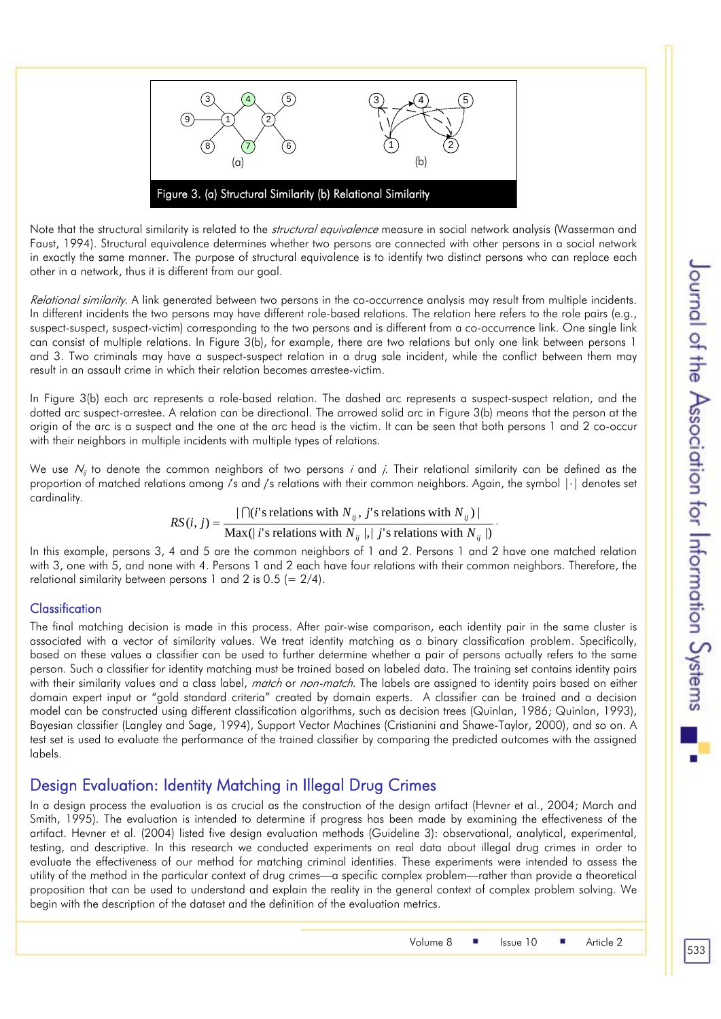

Note that the structural similarity is related to the *structural equivalence* measure in social network analysis (Wasserman and Faust, 1994). Structural equivalence determines whether two persons are connected with other persons in a social network in exactly the same manner. The purpose of structural equivalence is to identify two distinct persons who can replace each other in a network, thus it is different from our goal.

Relational similarity. A link generated between two persons in the co-occurrence analysis may result from multiple incidents. In different incidents the two persons may have different role-based relations. The relation here refers to the role pairs (e.g., suspect-suspect, suspect-victim) corresponding to the two persons and is different from a co-occurrence link. One single link can consist of multiple relations. In Figure 3(b), for example, there are two relations but only one link between persons 1 and 3. Two criminals may have a suspect-suspect relation in a drug sale incident, while the conflict between them may result in an assault crime in which their relation becomes arrestee-victim.

In Figure 3(b) each arc represents a role-based relation. The dashed arc represents a suspect-suspect relation, and the dotted arc suspect-arrestee. A relation can be directional. The arrowed solid arc in Figure 3(b) means that the person at the origin of the arc is a suspect and the one at the arc head is the victim. It can be seen that both persons 1 and 2 co-occur with their neighbors in multiple incidents with multiple types of relations.

We use  $N_{ij}$  to denote the common neighbors of two persons *i* and *j*. Their relational similarity can be defined as the proportion of matched relations among is and is relations with their common neighbors. Again, the symbol  $|\cdot|$  denotes set cardinality.

> Max(| *i*'s relations with  $N_{ii}$  |,| *j*'s relations with  $N_{ii}$  |)  $(i, j) = \frac{| \bigcap (i' \text{ is relations with } N_{ij}, j' \text{ is relations with } N_{ij} \big)|}{\sum_{i=1}^k \bigcap (i' \text{ is not } j, j' \text{ is not } j, j' \text{ is not } j'}$  $_{ij}$   $\vert$ ,  $\vert$  *j*  $\sigma$  ividibility with  $\bar{r}$   $_{ij}$  $_{ij}$ , *j* siciations with  $I$ <sup> $\bf{v}$ </sup> $_{ij}$ *i*'s relations with  $N_{ij}$ ,  $|$ ,  $j$ 's relations with N *i*'s relations with  $N_{ii}$ , *j*'s relations with N  $RS(i, j) = \frac{|f| (i's \text{ relations with } N_{ij}, j's \text{ relations with } N_{ij})|}{\sum_{i=1}^n |f(i)|^2}$ .

In this example, persons 3, 4 and 5 are the common neighbors of 1 and 2. Persons 1 and 2 have one matched relation with 3, one with 5, and none with 4. Persons 1 and 2 each have four relations with their common neighbors. Therefore, the relational similarity between persons 1 and 2 is 0.5 (=  $2/4$ ).

## **Classification**

The final matching decision is made in this process. After pair-wise comparison, each identity pair in the same cluster is associated with a vector of similarity values. We treat identity matching as a binary classification problem. Specifically, based on these values a classifier can be used to further determine whether a pair of persons actually refers to the same person. Such a classifier for identity matching must be trained based on labeled data. The training set contains identity pairs with their similarity values and a class label, match or non-match. The labels are assigned to identity pairs based on either domain expert input or "gold standard criteria" created by domain experts. A classifier can be trained and a decision model can be constructed using different classification algorithms, such as decision trees (Quinlan, 1986; Quinlan, 1993), Bayesian classifier (Langley and Sage, 1994), Support Vector Machines (Cristianini and Shawe-Taylor, 2000), and so on. A test set is used to evaluate the performance of the trained classifier by comparing the predicted outcomes with the assigned labels.

# Design Evaluation: Identity Matching in Illegal Drug Crimes

In a design process the evaluation is as crucial as the construction of the design artifact (Hevner et al., 2004; March and Smith, 1995). The evaluation is intended to determine if progress has been made by examining the effectiveness of the artifact. Hevner et al. (2004) listed five design evaluation methods (Guideline 3): observational, analytical, experimental, testing, and descriptive. In this research we conducted experiments on real data about illegal drug crimes in order to evaluate the effectiveness of our method for matching criminal identities. These experiments were intended to assess the utility of the method in the particular context of drug crimes—a specific complex problem—rather than provide a theoretical proposition that can be used to understand and explain the reality in the general context of complex problem solving. We begin with the description of the dataset and the definition of the evaluation metrics.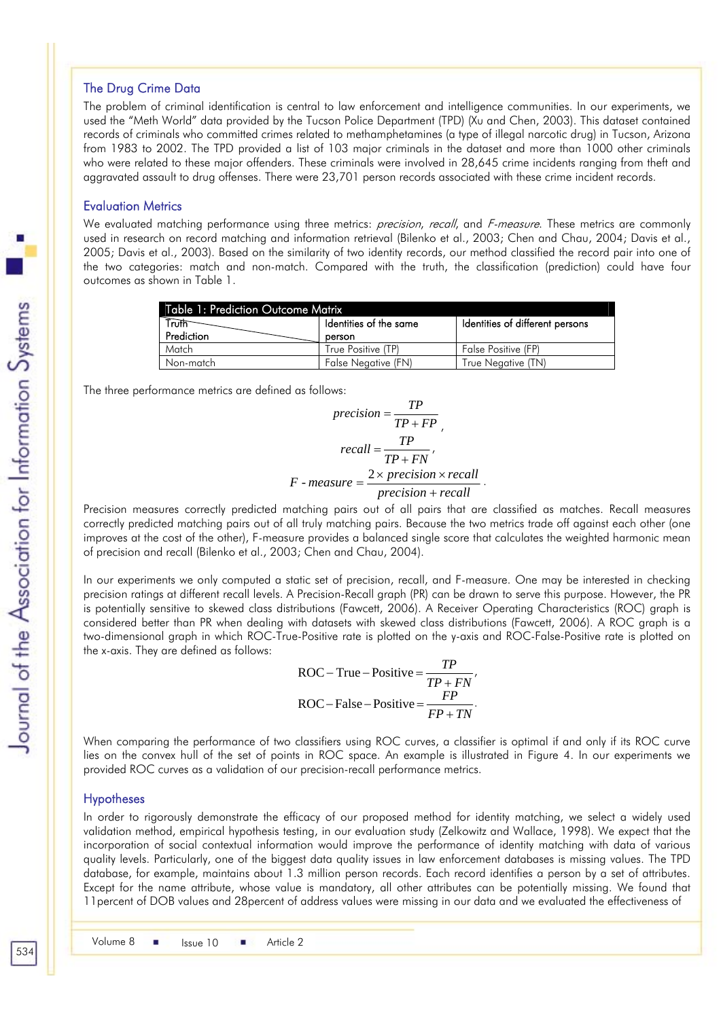#### The Drug Crime Data

The problem of criminal identification is central to law enforcement and intelligence communities. In our experiments, we used the "Meth World" data provided by the Tucson Police Department (TPD) (Xu and Chen, 2003). This dataset contained records of criminals who committed crimes related to methamphetamines (a type of illegal narcotic drug) in Tucson, Arizona from 1983 to 2002. The TPD provided a list of 103 major criminals in the dataset and more than 1000 other criminals who were related to these major offenders. These criminals were involved in 28,645 crime incidents ranging from theft and aggravated assault to drug offenses. There were 23,701 person records associated with these crime incident records.

#### Evaluation Metrics

We evaluated matching performance using three metrics: *precision, recall,* and *F-measure*. These metrics are commonly used in research on record matching and information retrieval (Bilenko et al., 2003; Chen and Chau, 2004; Davis et al., 2005; Davis et al., 2003). Based on the similarity of two identity records, our method classified the record pair into one of the two categories: match and non-match. Compared with the truth, the classification (prediction) could have four outcomes as shown in Table 1.

| <b>Table 1: Prediction Outcome Matrix</b> |                        |                                 |  |  |  |  |
|-------------------------------------------|------------------------|---------------------------------|--|--|--|--|
| Truth                                     | Identities of the same | Identities of different persons |  |  |  |  |
| Prediction                                | person                 |                                 |  |  |  |  |
| Match                                     | True Positive (TP)     | False Positive (FP)             |  |  |  |  |
| Non-match                                 | False Negative (FN)    | True Negative (TN)              |  |  |  |  |

The three performance metrics are defined as follows:

$$
precision = \frac{TP}{TP + FP}
$$

$$
recall = \frac{TP}{TP + FN}
$$

$$
F \text{ -} measure = \frac{2 \times precision \times recall}{precision + recall}
$$

Precision measures correctly predicted matching pairs out of all pairs that are classified as matches. Recall measures correctly predicted matching pairs out of all truly matching pairs. Because the two metrics trade off against each other (one improves at the cost of the other), F-measure provides a balanced single score that calculates the weighted harmonic mean of precision and recall (Bilenko et al., 2003; Chen and Chau, 2004).

In our experiments we only computed a static set of precision, recall, and F-measure. One may be interested in checking precision ratings at different recall levels. A Precision-Recall graph (PR) can be drawn to serve this purpose. However, the PR is potentially sensitive to skewed class distributions (Fawcett, 2006). A Receiver Operating Characteristics (ROC) graph is considered better than PR when dealing with datasets with skewed class distributions (Fawcett, 2006). A ROC graph is a two-dimensional graph in which ROC-True-Positive rate is plotted on the y-axis and ROC-False-Positive rate is plotted on the x-axis. They are defined as follows:

ROC – True – Positive = 
$$
\frac{TP}{TP + FN'}
$$
  
ROC – False – Positive = 
$$
\frac{FP}{FP + TN}
$$
.

When comparing the performance of two classifiers using ROC curves, a classifier is optimal if and only if its ROC curve lies on the convex hull of the set of points in ROC space. An example is illustrated in Figure 4. In our experiments we provided ROC curves as a validation of our precision-recall performance metrics.

#### **Hypotheses**

In order to rigorously demonstrate the efficacy of our proposed method for identity matching, we select a widely used validation method, empirical hypothesis testing, in our evaluation study (Zelkowitz and Wallace, 1998). We expect that the incorporation of social contextual information would improve the performance of identity matching with data of various quality levels. Particularly, one of the biggest data quality issues in law enforcement databases is missing values. The TPD database, for example, maintains about 1.3 million person records. Each record identifies a person by a set of attributes. Except for the name attribute, whose value is mandatory, all other attributes can be potentially missing. We found that 11percent of DOB values and 28percent of address values were missing in our data and we evaluated the effectiveness of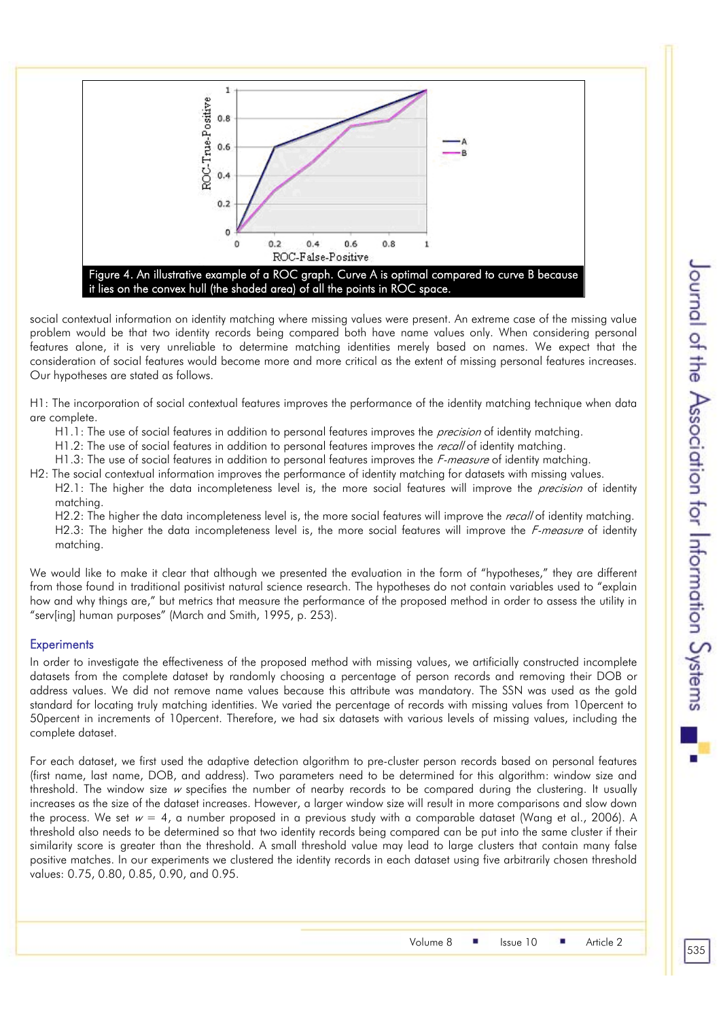

social contextual information on identity matching where missing values were present. An extreme case of the missing value problem would be that two identity records being compared both have name values only. When considering personal features alone, it is very unreliable to determine matching identities merely based on names. We expect that the consideration of social features would become more and more critical as the extent of missing personal features increases. Our hypotheses are stated as follows.

H1: The incorporation of social contextual features improves the performance of the identity matching technique when data are complete.

H1.1: The use of social features in addition to personal features improves the *precision* of identity matching.

H1.2: The use of social features in addition to personal features improves the *recall* of identity matching.

H1.3: The use of social features in addition to personal features improves the *F-measure* of identity matching.

H2: The social contextual information improves the performance of identity matching for datasets with missing values. H2.1: The higher the data incompleteness level is, the more social features will improve the *precision* of identity matching.

H2.2: The higher the data incompleteness level is, the more social features will improve the *recall* of identity matching. H2.3: The higher the data incompleteness level is, the more social features will improve the *F-measure* of identity matching.

We would like to make it clear that although we presented the evaluation in the form of "hypotheses," they are different from those found in traditional positivist natural science research. The hypotheses do not contain variables used to "explain how and why things are," but metrics that measure the performance of the proposed method in order to assess the utility in "serv[ing] human purposes" (March and Smith, 1995, p. 253).

#### **Experiments**

In order to investigate the effectiveness of the proposed method with missing values, we artificially constructed incomplete datasets from the complete dataset by randomly choosing a percentage of person records and removing their DOB or address values. We did not remove name values because this attribute was mandatory. The SSN was used as the gold standard for locating truly matching identities. We varied the percentage of records with missing values from 10percent to 50percent in increments of 10percent. Therefore, we had six datasets with various levels of missing values, including the complete dataset.

For each dataset, we first used the adaptive detection algorithm to pre-cluster person records based on personal features (first name, last name, DOB, and address). Two parameters need to be determined for this algorithm: window size and threshold. The window size  $w$  specifies the number of nearby records to be compared during the clustering. It usually increases as the size of the dataset increases. However, a larger window size will result in more comparisons and slow down the process. We set  $w = 4$ , a number proposed in a previous study with a comparable dataset (Wang et al., 2006). A threshold also needs to be determined so that two identity records being compared can be put into the same cluster if their similarity score is greater than the threshold. A small threshold value may lead to large clusters that contain many false positive matches. In our experiments we clustered the identity records in each dataset using five arbitrarily chosen threshold values: 0.75, 0.80, 0.85, 0.90, and 0.95.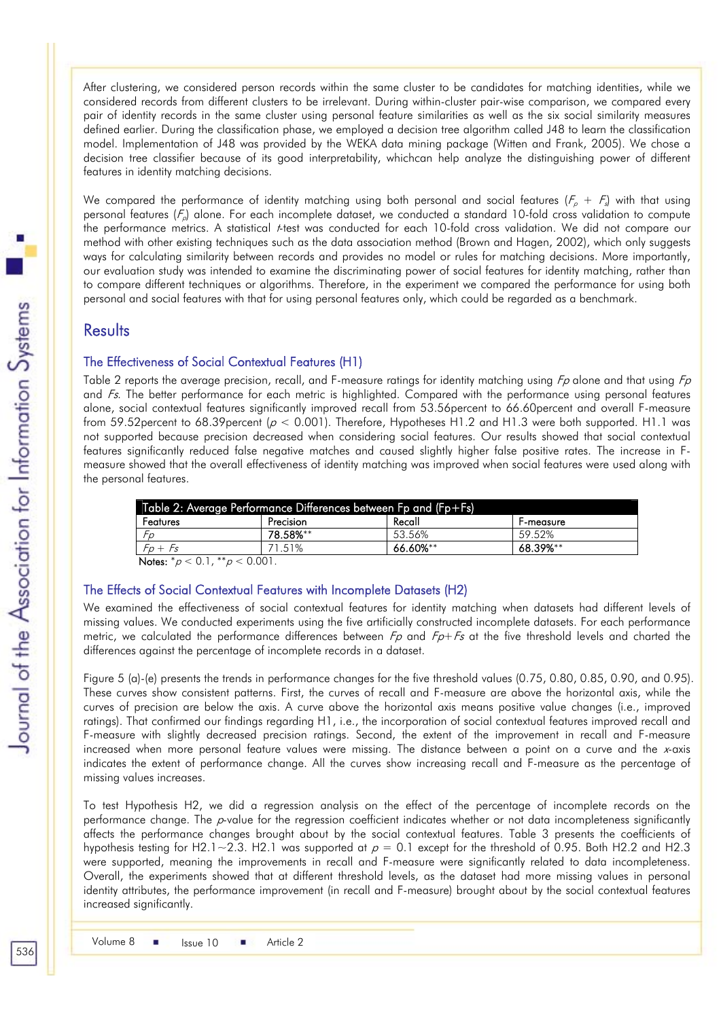After clustering, we considered person records within the same cluster to be candidates for matching identities, while we considered records from different clusters to be irrelevant. During within-cluster pair-wise comparison, we compared every pair of identity records in the same cluster using personal feature similarities as well as the six social similarity measures defined earlier. During the classification phase, we employed a decision tree algorithm called J48 to learn the classification model. Implementation of J48 was provided by the WEKA data mining package (Witten and Frank, 2005). We chose a decision tree classifier because of its good interpretability, whichcan help analyze the distinguishing power of different features in identity matching decisions.

We compared the performance of identity matching using both personal and social features ( $F_\rho$  +  $F_s$ ) with that using personal features ( $F_n$ ) alone. For each incomplete dataset, we conducted a standard 10-fold cross validation to compute the performance metrics. A statistical t-test was conducted for each 10-fold cross validation. We did not compare our method with other existing techniques such as the data association method (Brown and Hagen, 2002), which only suggests ways for calculating similarity between records and provides no model or rules for matching decisions. More importantly, our evaluation study was intended to examine the discriminating power of social features for identity matching, rather than to compare different techniques or algorithms. Therefore, in the experiment we compared the performance for using both personal and social features with that for using personal features only, which could be regarded as a benchmark.

## **Results**

#### The Effectiveness of Social Contextual Features (H1)

Table 2 reports the average precision, recall, and F-measure ratings for identity matching using  $F_p$  alone and that using  $F_p$ and  $Fs$ . The better performance for each metric is highlighted. Compared with the performance using personal features alone, social contextual features significantly improved recall from 53.56percent to 66.60percent and overall F-measure from 59.52 percent to 68.39 percent ( $p < 0.001$ ). Therefore, Hypotheses H1.2 and H1.3 were both supported. H1.1 was not supported because precision decreased when considering social features. Our results showed that social contextual features significantly reduced false negative matches and caused slightly higher false positive rates. The increase in Fmeasure showed that the overall effectiveness of identity matching was improved when social features were used along with the personal features.

| Table 2: Average Performance Differences between Fp and (Fp+Fs) |          |                  |  |  |  |  |
|-----------------------------------------------------------------|----------|------------------|--|--|--|--|
| Precision                                                       | Recall   | <b>F-measure</b> |  |  |  |  |
| 78.58%**                                                        | 53 56%   | 59 52%           |  |  |  |  |
| 71.51%                                                          | 66.60%** | 68.39%**         |  |  |  |  |
|                                                                 |          |                  |  |  |  |  |

Notes:  $^*p < 0.1$ ,  $^{**}p < 0.001$ .

#### The Effects of Social Contextual Features with Incomplete Datasets (H2)

We examined the effectiveness of social contextual features for identity matching when datasets had different levels of missing values. We conducted experiments using the five artificially constructed incomplete datasets. For each performance metric, we calculated the performance differences between  $F_p$  and  $F_p + F_s$  at the five threshold levels and charted the differences against the percentage of incomplete records in a dataset.

Figure 5 (a)-(e) presents the trends in performance changes for the five threshold values (0.75, 0.80, 0.85, 0.90, and 0.95). These curves show consistent patterns. First, the curves of recall and F-measure are above the horizontal axis, while the curves of precision are below the axis. A curve above the horizontal axis means positive value changes (i.e., improved ratings). That confirmed our findings regarding H1, i.e., the incorporation of social contextual features improved recall and F-measure with slightly decreased precision ratings. Second, the extent of the improvement in recall and F-measure increased when more personal feature values were missing. The distance between a point on a curve and the x-axis indicates the extent of performance change. All the curves show increasing recall and F-measure as the percentage of missing values increases.

To test Hypothesis H2, we did a regression analysis on the effect of the percentage of incomplete records on the performance change. The p-value for the regression coefficient indicates whether or not data incompleteness significantly affects the performance changes brought about by the social contextual features. Table 3 presents the coefficients of hypothesis testing for H2.1~2.3. H2.1 was supported at  $p = 0.1$  except for the threshold of 0.95. Both H2.2 and H2.3 were supported, meaning the improvements in recall and F-measure were significantly related to data incompleteness. Overall, the experiments showed that at different threshold levels, as the dataset had more missing values in personal identity attributes, the performance improvement (in recall and F-measure) brought about by the social contextual features increased significantly.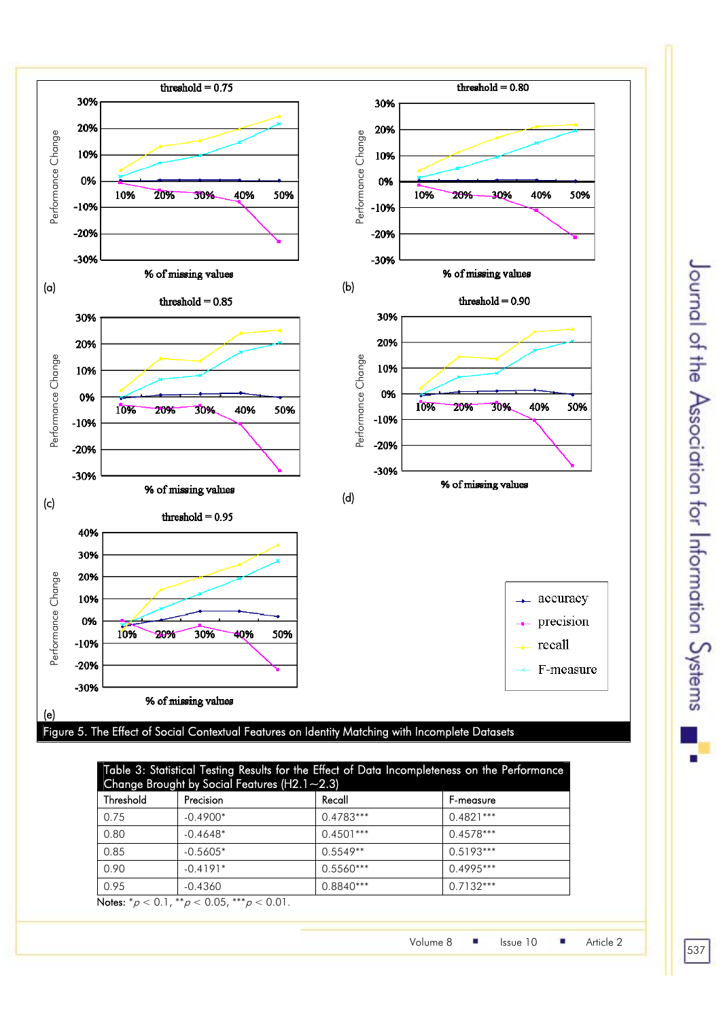

# Table 3: Statistical Testing Results for the Effect of Data Incompleteness on the Performance Change Brought by Social Features (H2.1~2.3) Threshold Precision Recall Recall Premeasure

| ,,,,,,,,,,,                                                                                                                                                                  | ווטוכוסטו  | ngcun       | <u>, , , , , , , , , , , , , ,</u> |  |  |
|------------------------------------------------------------------------------------------------------------------------------------------------------------------------------|------------|-------------|------------------------------------|--|--|
| 0.75                                                                                                                                                                         | $-0.4900*$ | 0.4783***   | $0.4821***$                        |  |  |
| 0.80                                                                                                                                                                         | $-0.4648*$ | $0.4501***$ | $0.4578***$                        |  |  |
| 0.85                                                                                                                                                                         | $-0.5605*$ | $0.5549**$  | $0.5193***$                        |  |  |
| 0.90                                                                                                                                                                         | $-0.4191*$ | $0.5560***$ | $0.4995***$                        |  |  |
| 0.95                                                                                                                                                                         | $-0.4360$  | 0.8840***   | $0.7132***$                        |  |  |
| <b>No. 1 Section</b><br>$\bigcap_{x \in \mathcal{X}} \bigcap_{x \in \mathcal{X}} \mathcal{L}(x, y, z)$<br>ا سان سال ۱<br>$\sim$ $\sim$ $\sim$ $\sim$<br>$\sim$ $\sim$ $\sim$ |            |             |                                    |  |  |

Notes:  ${}^*\rho$  < 0.1,  ${}^{**}\rho$  < 0.05,  ${}^{***}\rho$  < 0.01.

Volume 8 | Issue 10 | Article 2

537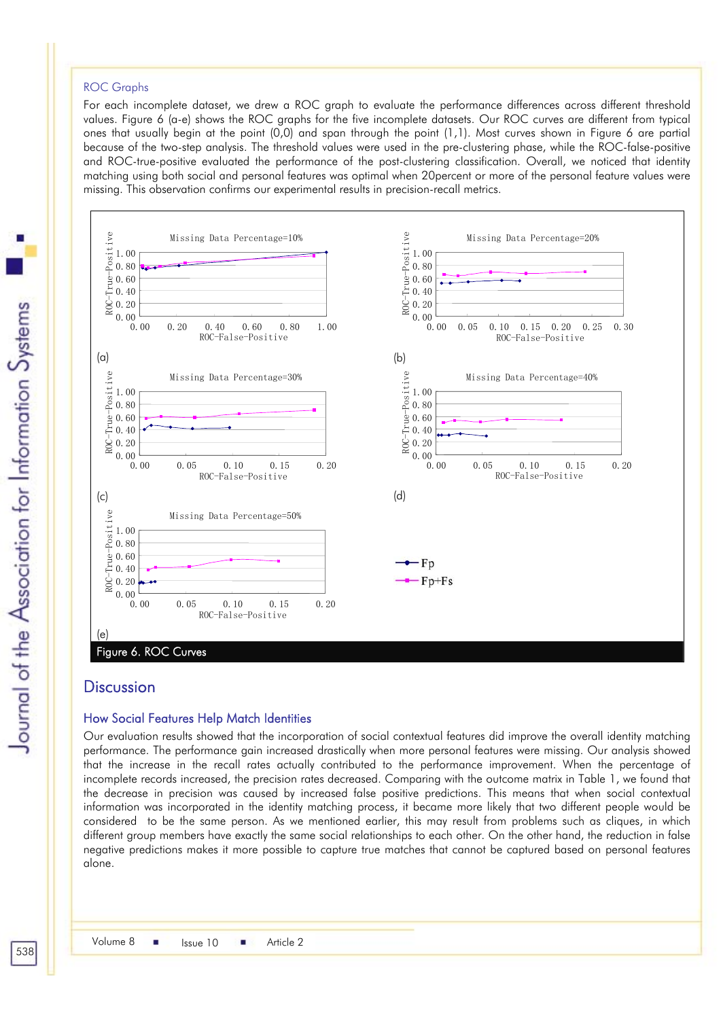#### ROC Graphs

For each incomplete dataset, we drew a ROC graph to evaluate the performance differences across different threshold values. Figure 6 (a-e) shows the ROC graphs for the five incomplete datasets. Our ROC curves are different from typical ones that usually begin at the point (0,0) and span through the point (1,1). Most curves shown in Figure 6 are partial because of the two-step analysis. The threshold values were used in the pre-clustering phase, while the ROC-false-positive and ROC-true-positive evaluated the performance of the post-clustering classification. Overall, we noticed that identity matching using both social and personal features was optimal when 20percent or more of the personal feature values were missing. This observation confirms our experimental results in precision-recall metrics.



## **Discussion**

#### How Social Features Help Match Identities

Our evaluation results showed that the incorporation of social contextual features did improve the overall identity matching performance. The performance gain increased drastically when more personal features were missing. Our analysis showed that the increase in the recall rates actually contributed to the performance improvement. When the percentage of incomplete records increased, the precision rates decreased. Comparing with the outcome matrix in Table 1, we found that the decrease in precision was caused by increased false positive predictions. This means that when social contextual information was incorporated in the identity matching process, it became more likely that two different people would be considered to be the same person. As we mentioned earlier, this may result from problems such as cliques, in which different group members have exactly the same social relationships to each other. On the other hand, the reduction in false negative predictions makes it more possible to capture true matches that cannot be captured based on personal features alone.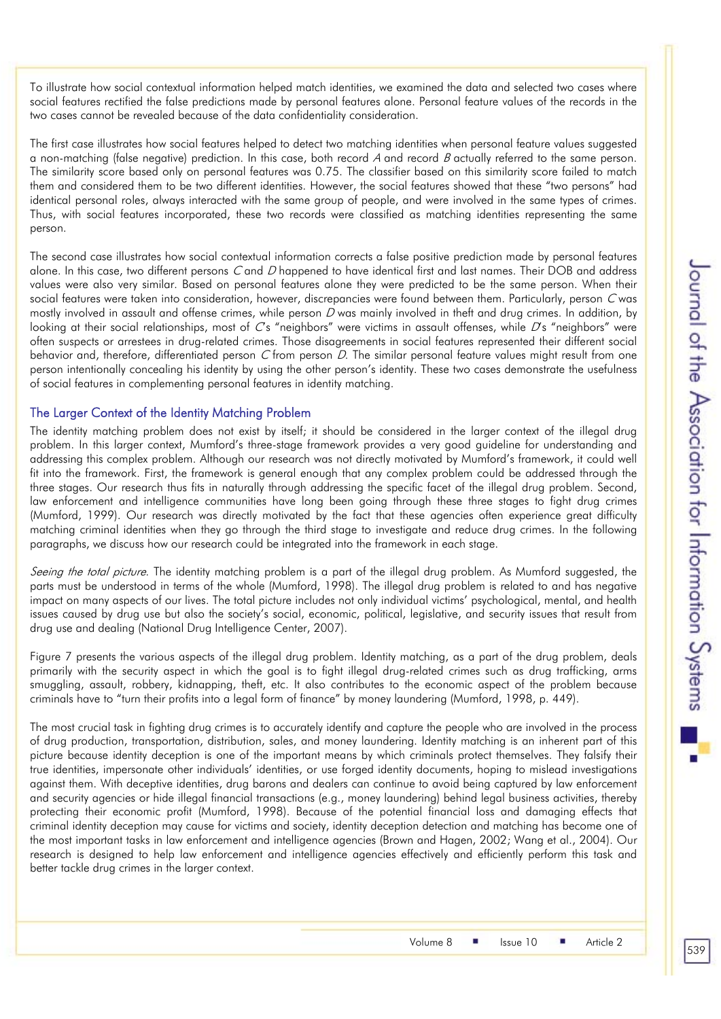To illustrate how social contextual information helped match identities, we examined the data and selected two cases where social features rectified the false predictions made by personal features alone. Personal feature values of the records in the two cases cannot be revealed because of the data confidentiality consideration.

The first case illustrates how social features helped to detect two matching identities when personal feature values suggested a non-matching (false negative) prediction. In this case, both record  $A$  and record  $B$  actually referred to the same person. The similarity score based only on personal features was 0.75. The classifier based on this similarity score failed to match them and considered them to be two different identities. However, the social features showed that these "two persons" had identical personal roles, always interacted with the same group of people, and were involved in the same types of crimes. Thus, with social features incorporated, these two records were classified as matching identities representing the same person.

The second case illustrates how social contextual information corrects a false positive prediction made by personal features alone. In this case, two different persons C and D happened to have identical first and last names. Their DOB and address values were also very similar. Based on personal features alone they were predicted to be the same person. When their social features were taken into consideration, however, discrepancies were found between them. Particularly, person C was mostly involved in assault and offense crimes, while person  $D$  was mainly involved in theft and drug crimes. In addition, by looking at their social relationships, most of  $Cs$  "neighbors" were victims in assault offenses, while  $Ds$  "neighbors" were often suspects or arrestees in drug-related crimes. Those disagreements in social features represented their different social behavior and, therefore, differentiated person C from person D. The similar personal feature values might result from one person intentionally concealing his identity by using the other person's identity. These two cases demonstrate the usefulness of social features in complementing personal features in identity matching.

#### The Larger Context of the Identity Matching Problem

The identity matching problem does not exist by itself; it should be considered in the larger context of the illegal drug problem. In this larger context, Mumford's three-stage framework provides a very good guideline for understanding and addressing this complex problem. Although our research was not directly motivated by Mumford's framework, it could well fit into the framework. First, the framework is general enough that any complex problem could be addressed through the three stages. Our research thus fits in naturally through addressing the specific facet of the illegal drug problem. Second, law enforcement and intelligence communities have long been going through these three stages to fight drug crimes (Mumford, 1999). Our research was directly motivated by the fact that these agencies often experience great difficulty matching criminal identities when they go through the third stage to investigate and reduce drug crimes. In the following paragraphs, we discuss how our research could be integrated into the framework in each stage.

Seeing the total picture. The identity matching problem is a part of the illegal drug problem. As Mumford suggested, the parts must be understood in terms of the whole (Mumford, 1998). The illegal drug problem is related to and has negative impact on many aspects of our lives. The total picture includes not only individual victims' psychological, mental, and health issues caused by drug use but also the society's social, economic, political, legislative, and security issues that result from drug use and dealing (National Drug Intelligence Center, 2007).

Figure 7 presents the various aspects of the illegal drug problem. Identity matching, as a part of the drug problem, deals primarily with the security aspect in which the goal is to fight illegal drug-related crimes such as drug trafficking, arms smuggling, assault, robbery, kidnapping, theft, etc. It also contributes to the economic aspect of the problem because criminals have to "turn their profits into a legal form of finance" by money laundering (Mumford, 1998, p. 449).

The most crucial task in fighting drug crimes is to accurately identify and capture the people who are involved in the process of drug production, transportation, distribution, sales, and money laundering. Identity matching is an inherent part of this picture because identity deception is one of the important means by which criminals protect themselves. They falsify their true identities, impersonate other individuals' identities, or use forged identity documents, hoping to mislead investigations against them. With deceptive identities, drug barons and dealers can continue to avoid being captured by law enforcement and security agencies or hide illegal financial transactions (e.g., money laundering) behind legal business activities, thereby protecting their economic profit (Mumford, 1998). Because of the potential financial loss and damaging effects that criminal identity deception may cause for victims and society, identity deception detection and matching has become one of the most important tasks in law enforcement and intelligence agencies (Brown and Hagen, 2002; Wang et al., 2004). Our research is designed to help law enforcement and intelligence agencies effectively and efficiently perform this task and better tackle drug crimes in the larger context.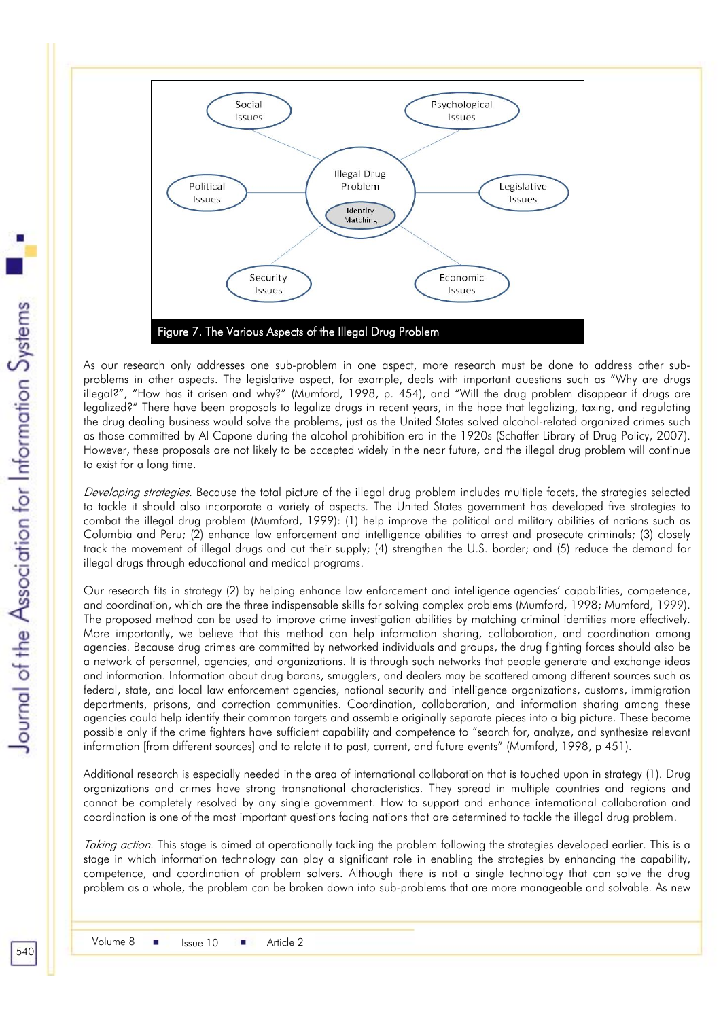

As our research only addresses one sub-problem in one aspect, more research must be done to address other subproblems in other aspects. The legislative aspect, for example, deals with important questions such as "Why are drugs illegal?", "How has it arisen and why?" (Mumford, 1998, p. 454), and "Will the drug problem disappear if drugs are legalized?" There have been proposals to legalize drugs in recent years, in the hope that legalizing, taxing, and regulating the drug dealing business would solve the problems, just as the United States solved alcohol-related organized crimes such as those committed by Al Capone during the alcohol prohibition era in the 1920s (Schaffer Library of Drug Policy, 2007). However, these proposals are not likely to be accepted widely in the near future, and the illegal drug problem will continue to exist for a long time.

Developing strategies. Because the total picture of the illegal drug problem includes multiple facets, the strategies selected to tackle it should also incorporate a variety of aspects. The United States government has developed five strategies to combat the illegal drug problem (Mumford, 1999): (1) help improve the political and military abilities of nations such as Columbia and Peru; (2) enhance law enforcement and intelligence abilities to arrest and prosecute criminals; (3) closely track the movement of illegal drugs and cut their supply; (4) strengthen the U.S. border; and (5) reduce the demand for illegal drugs through educational and medical programs.

Our research fits in strategy (2) by helping enhance law enforcement and intelligence agencies' capabilities, competence, and coordination, which are the three indispensable skills for solving complex problems (Mumford, 1998; Mumford, 1999). The proposed method can be used to improve crime investigation abilities by matching criminal identities more effectively. More importantly, we believe that this method can help information sharing, collaboration, and coordination among agencies. Because drug crimes are committed by networked individuals and groups, the drug fighting forces should also be a network of personnel, agencies, and organizations. It is through such networks that people generate and exchange ideas and information. Information about drug barons, smugglers, and dealers may be scattered among different sources such as federal, state, and local law enforcement agencies, national security and intelligence organizations, customs, immigration departments, prisons, and correction communities. Coordination, collaboration, and information sharing among these agencies could help identify their common targets and assemble originally separate pieces into a big picture. These become possible only if the crime fighters have sufficient capability and competence to "search for, analyze, and synthesize relevant information [from different sources] and to relate it to past, current, and future events" (Mumford, 1998, p 451).

Additional research is especially needed in the area of international collaboration that is touched upon in strategy (1). Drug organizations and crimes have strong transnational characteristics. They spread in multiple countries and regions and cannot be completely resolved by any single government. How to support and enhance international collaboration and coordination is one of the most important questions facing nations that are determined to tackle the illegal drug problem.

Taking action. This stage is aimed at operationally tackling the problem following the strategies developed earlier. This is a stage in which information technology can play a significant role in enabling the strategies by enhancing the capability, competence, and coordination of problem solvers. Although there is not a single technology that can solve the drug problem as a whole, the problem can be broken down into sub-problems that are more manageable and solvable. As new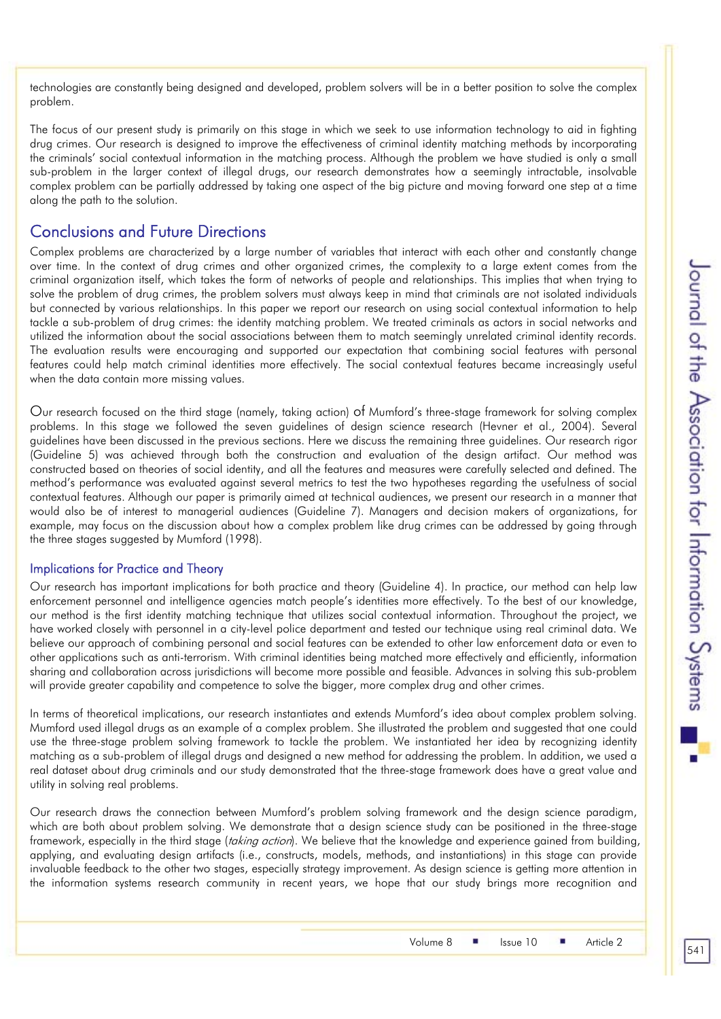technologies are constantly being designed and developed, problem solvers will be in a better position to solve the complex problem.

The focus of our present study is primarily on this stage in which we seek to use information technology to aid in fighting drug crimes. Our research is designed to improve the effectiveness of criminal identity matching methods by incorporating the criminals' social contextual information in the matching process. Although the problem we have studied is only a small sub-problem in the larger context of illegal drugs, our research demonstrates how a seemingly intractable, insolvable complex problem can be partially addressed by taking one aspect of the big picture and moving forward one step at a time along the path to the solution.

# Conclusions and Future Directions

Complex problems are characterized by a large number of variables that interact with each other and constantly change over time. In the context of drug crimes and other organized crimes, the complexity to a large extent comes from the criminal organization itself, which takes the form of networks of people and relationships. This implies that when trying to solve the problem of drug crimes, the problem solvers must always keep in mind that criminals are not isolated individuals but connected by various relationships. In this paper we report our research on using social contextual information to help tackle a sub-problem of drug crimes: the identity matching problem. We treated criminals as actors in social networks and utilized the information about the social associations between them to match seemingly unrelated criminal identity records. The evaluation results were encouraging and supported our expectation that combining social features with personal features could help match criminal identities more effectively. The social contextual features became increasingly useful when the data contain more missing values.

Our research focused on the third stage (namely, taking action) of Mumford's three-stage framework for solving complex problems. In this stage we followed the seven guidelines of design science research (Hevner et al., 2004). Several guidelines have been discussed in the previous sections. Here we discuss the remaining three guidelines. Our research rigor (Guideline 5) was achieved through both the construction and evaluation of the design artifact. Our method was constructed based on theories of social identity, and all the features and measures were carefully selected and defined. The method's performance was evaluated against several metrics to test the two hypotheses regarding the usefulness of social contextual features. Although our paper is primarily aimed at technical audiences, we present our research in a manner that would also be of interest to managerial audiences (Guideline 7). Managers and decision makers of organizations, for example, may focus on the discussion about how a complex problem like drug crimes can be addressed by going through the three stages suggested by Mumford (1998).

## Implications for Practice and Theory

Our research has important implications for both practice and theory (Guideline 4). In practice, our method can help law enforcement personnel and intelligence agencies match people's identities more effectively. To the best of our knowledge, our method is the first identity matching technique that utilizes social contextual information. Throughout the project, we have worked closely with personnel in a city-level police department and tested our technique using real criminal data. We believe our approach of combining personal and social features can be extended to other law enforcement data or even to other applications such as anti-terrorism. With criminal identities being matched more effectively and efficiently, information sharing and collaboration across jurisdictions will become more possible and feasible. Advances in solving this sub-problem will provide greater capability and competence to solve the bigger, more complex drug and other crimes.

In terms of theoretical implications, our research instantiates and extends Mumford's idea about complex problem solving. Mumford used illegal drugs as an example of a complex problem. She illustrated the problem and suggested that one could use the three-stage problem solving framework to tackle the problem. We instantiated her idea by recognizing identity matching as a sub-problem of illegal drugs and designed a new method for addressing the problem. In addition, we used a real dataset about drug criminals and our study demonstrated that the three-stage framework does have a great value and utility in solving real problems.

Our research draws the connection between Mumford's problem solving framework and the design science paradigm, which are both about problem solving. We demonstrate that a design science study can be positioned in the three-stage framework, especially in the third stage (taking action). We believe that the knowledge and experience gained from building, applying, and evaluating design artifacts (i.e., constructs, models, methods, and instantiations) in this stage can provide invaluable feedback to the other two stages, especially strategy improvement. As design science is getting more attention in the information systems research community in recent years, we hope that our study brings more recognition and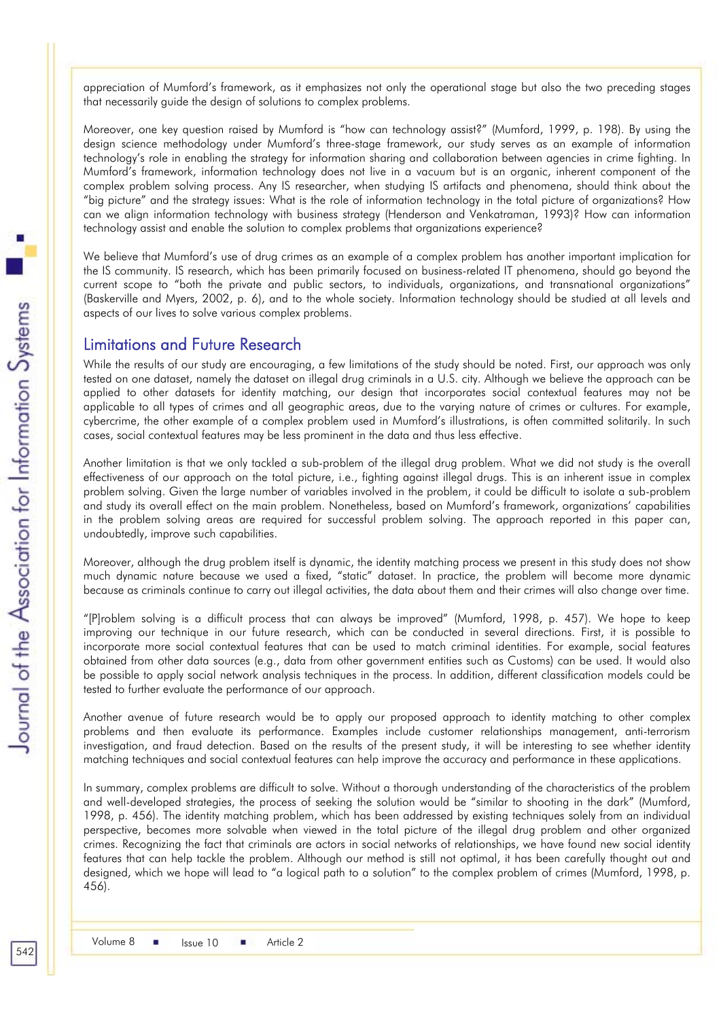appreciation of Mumford's framework, as it emphasizes not only the operational stage but also the two preceding stages that necessarily guide the design of solutions to complex problems.

Moreover, one key question raised by Mumford is "how can technology assist?" (Mumford, 1999, p. 198). By using the design science methodology under Mumford's three-stage framework, our study serves as an example of information technology's role in enabling the strategy for information sharing and collaboration between agencies in crime fighting. In Mumford's framework, information technology does not live in a vacuum but is an organic, inherent component of the complex problem solving process. Any IS researcher, when studying IS artifacts and phenomena, should think about the "big picture" and the strategy issues: What is the role of information technology in the total picture of organizations? How can we align information technology with business strategy (Henderson and Venkatraman, 1993)? How can information technology assist and enable the solution to complex problems that organizations experience?

We believe that Mumford's use of drug crimes as an example of a complex problem has another important implication for the IS community. IS research, which has been primarily focused on business-related IT phenomena, should go beyond the current scope to "both the private and public sectors, to individuals, organizations, and transnational organizations" (Baskerville and Myers, 2002, p. 6), and to the whole society. Information technology should be studied at all levels and aspects of our lives to solve various complex problems.

## Limitations and Future Research

While the results of our study are encouraging, a few limitations of the study should be noted. First, our approach was only tested on one dataset, namely the dataset on illegal drug criminals in a U.S. city. Although we believe the approach can be applied to other datasets for identity matching, our design that incorporates social contextual features may not be applicable to all types of crimes and all geographic areas, due to the varying nature of crimes or cultures. For example, cybercrime, the other example of a complex problem used in Mumford's illustrations, is often committed solitarily. In such cases, social contextual features may be less prominent in the data and thus less effective.

Another limitation is that we only tackled a sub-problem of the illegal drug problem. What we did not study is the overall effectiveness of our approach on the total picture, i.e., fighting against illegal drugs. This is an inherent issue in complex problem solving. Given the large number of variables involved in the problem, it could be difficult to isolate a sub-problem and study its overall effect on the main problem. Nonetheless, based on Mumford's framework, organizations' capabilities in the problem solving areas are required for successful problem solving. The approach reported in this paper can, undoubtedly, improve such capabilities.

Moreover, although the drug problem itself is dynamic, the identity matching process we present in this study does not show much dynamic nature because we used a fixed, "static" dataset. In practice, the problem will become more dynamic because as criminals continue to carry out illegal activities, the data about them and their crimes will also change over time.

"[P]roblem solving is a difficult process that can always be improved" (Mumford, 1998, p. 457). We hope to keep improving our technique in our future research, which can be conducted in several directions. First, it is possible to incorporate more social contextual features that can be used to match criminal identities. For example, social features obtained from other data sources (e.g., data from other government entities such as Customs) can be used. It would also be possible to apply social network analysis techniques in the process. In addition, different classification models could be tested to further evaluate the performance of our approach.

Another avenue of future research would be to apply our proposed approach to identity matching to other complex problems and then evaluate its performance. Examples include customer relationships management, anti-terrorism investigation, and fraud detection. Based on the results of the present study, it will be interesting to see whether identity matching techniques and social contextual features can help improve the accuracy and performance in these applications.

In summary, complex problems are difficult to solve. Without a thorough understanding of the characteristics of the problem and well-developed strategies, the process of seeking the solution would be "similar to shooting in the dark" (Mumford, 1998, p. 456). The identity matching problem, which has been addressed by existing techniques solely from an individual perspective, becomes more solvable when viewed in the total picture of the illegal drug problem and other organized crimes. Recognizing the fact that criminals are actors in social networks of relationships, we have found new social identity features that can help tackle the problem. Although our method is still not optimal, it has been carefully thought out and designed, which we hope will lead to "a logical path to a solution" to the complex problem of crimes (Mumford, 1998, p. 456).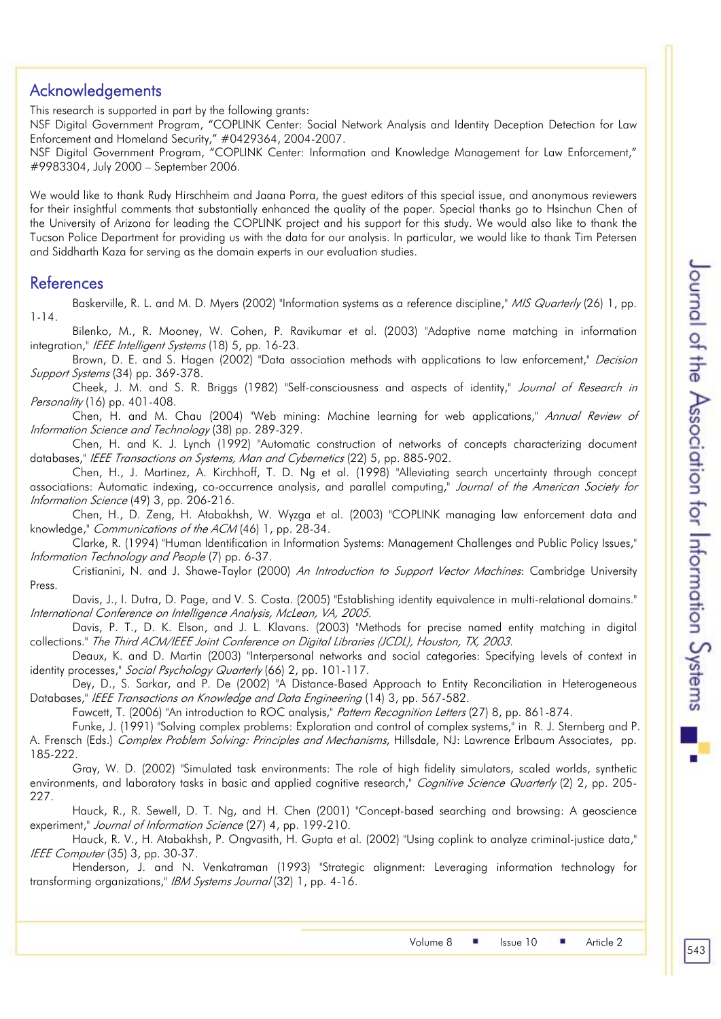# Acknowledgements

This research is supported in part by the following grants:

NSF Digital Government Program, "COPLINK Center: Social Network Analysis and Identity Deception Detection for Law Enforcement and Homeland Security," #0429364, 2004-2007.

NSF Digital Government Program, "COPLINK Center: Information and Knowledge Management for Law Enforcement," #9983304, July 2000 – September 2006.

We would like to thank Rudy Hirschheim and Jaana Porra, the guest editors of this special issue, and anonymous reviewers for their insightful comments that substantially enhanced the quality of the paper. Special thanks go to Hsinchun Chen of the University of Arizona for leading the COPLINK project and his support for this study. We would also like to thank the Tucson Police Department for providing us with the data for our analysis. In particular, we would like to thank Tim Petersen and Siddharth Kaza for serving as the domain experts in our evaluation studies.

# References

Baskerville, R. L. and M. D. Myers (2002) "Information systems as a reference discipline," MIS Quarterly (26) 1, pp. 1-14.

Bilenko, M., R. Mooney, W. Cohen, P. Ravikumar et al. (2003) "Adaptive name matching in information integration," IEEE Intelligent Systems (18) 5, pp. 16-23.

Brown, D. E. and S. Hagen (2002) "Data association methods with applications to law enforcement," *Decision* Support Systems (34) pp. 369-378.

Cheek, J. M. and S. R. Briggs (1982) "Self-consciousness and aspects of identity," Journal of Research in Personality (16) pp. 401-408.

Chen, H. and M. Chau (2004) "Web mining: Machine learning for web applications," Annual Review of Information Science and Technology (38) pp. 289-329.

Chen, H. and K. J. Lynch (1992) "Automatic construction of networks of concepts characterizing document databases," IEEE Transactions on Systems, Man and Cybernetics (22) 5, pp. 885-902.

Chen, H., J. Martinez, A. Kirchhoff, T. D. Ng et al. (1998) "Alleviating search uncertainty through concept associations: Automatic indexing, co-occurrence analysis, and parallel computing," Journal of the American Society for Information Science (49) 3, pp. 206-216.

Chen, H., D. Zeng, H. Atabakhsh, W. Wyzga et al. (2003) "COPLINK managing law enforcement data and knowledge," Communications of the ACM (46) 1, pp. 28-34.

Clarke, R. (1994) "Human Identification in Information Systems: Management Challenges and Public Policy Issues," Information Technology and People (7) pp. 6-37.

Cristianini, N. and J. Shawe-Taylor (2000) An Introduction to Support Vector Machines: Cambridge University Press.

Davis, J., I. Dutra, D. Page, and V. S. Costa. (2005) "Establishing identity equivalence in multi-relational domains." International Conference on Intelligence Analysis, McLean, VA, 2005.

Davis, P. T., D. K. Elson, and J. L. Klavans. (2003) "Methods for precise named entity matching in digital collections." The Third ACM/IEEE Joint Conference on Digital Libraries (JCDL), Houston, TX, 2003.

Deaux, K. and D. Martin (2003) "Interpersonal networks and social categories: Specifying levels of context in identity processes," Social Psychology Quarterly (66) 2, pp. 101-117.

Dey, D., S. Sarkar, and P. De (2002) "A Distance-Based Approach to Entity Reconciliation in Heterogeneous Databases," IEEE Transactions on Knowledge and Data Engineering (14) 3, pp. 567-582.

Fawcett, T. (2006) "An introduction to ROC analysis," Pattern Recognition Letters (27) 8, pp. 861-874.

Funke, J. (1991) "Solving complex problems: Exploration and control of complex systems," in R. J. Sternberg and P. A. Frensch (Eds.) *Complex Problem Solving: Principles and Mechanisms*, Hillsdale, NJ: Lawrence Erlbaum Associates, pp. 185-222.

Gray, W. D. (2002) "Simulated task environments: The role of high fidelity simulators, scaled worlds, synthetic environments, and laboratory tasks in basic and applied cognitive research," Cognitive Science Quarterly (2) 2, pp. 205-227.

Hauck, R., R. Sewell, D. T. Ng, and H. Chen (2001) "Concept-based searching and browsing: A geoscience experiment," Journal of Information Science (27) 4, pp. 199-210.

Hauck, R. V., H. Atabakhsh, P. Ongvasith, H. Gupta et al. (2002) "Using coplink to analyze criminal-justice data," IEEE Computer (35) 3, pp. 30-37.

Henderson, J. and N. Venkatraman (1993) "Strategic alignment: Leveraging information technology for transforming organizations," IBM Systems Journal (32) 1, pp. 4-16.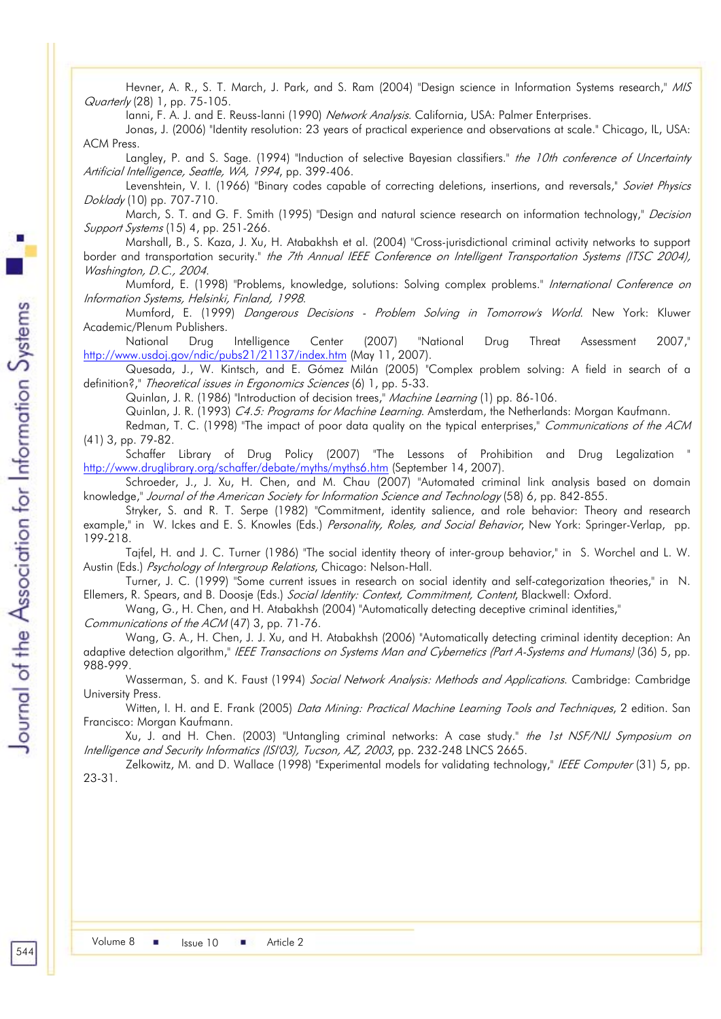Hevner, A. R., S. T. March, J. Park, and S. Ram (2004) "Design science in Information Systems research," MIS Quarterly (28) 1, pp. 75-105.

Ianni, F. A. J. and E. Reuss-lanni (1990) Network Analysis. California, USA: Palmer Enterprises.

Jonas, J. (2006) "Identity resolution: 23 years of practical experience and observations at scale." Chicago, IL, USA: ACM Press.

Langley, P. and S. Sage. (1994) "Induction of selective Bayesian classifiers." the 10th conference of Uncertainty Artificial Intelligence, Seattle, WA, 1994, pp. 399-406.

Levenshtein, V. I. (1966) "Binary codes capable of correcting deletions, insertions, and reversals," Soviet Physics Doklady (10) pp. 707-710.

March, S. T. and G. F. Smith (1995) "Design and natural science research on information technology," Decision Support Systems (15) 4, pp. 251-266.

Marshall, B., S. Kaza, J. Xu, H. Atabakhsh et al. (2004) "Cross-jurisdictional criminal activity networks to support border and transportation security." the 7th Annual IEEE Conference on Intelligent Transportation Systems (ITSC 2004), Washington, D.C., 2004.

Mumford, E. (1998) "Problems, knowledge, solutions: Solving complex problems." International Conference on Information Systems, Helsinki, Finland, 1998.

Mumford, E. (1999) Dangerous Decisions - Problem Solving in Tomorrow's World. New York: Kluwer Academic/Plenum Publishers.

National Drug Intelligence Center (2007) "National Drug Threat Assessment 2007," http://www.usdoj.gov/ndic/pubs21/21137/index.htm (May 11, 2007).

Quesada, J., W. Kintsch, and E. Gómez Milán (2005) "Complex problem solving: A field in search of a definition?," Theoretical issues in Ergonomics Sciences (6) 1, pp. 5-33.

Quinlan, J. R. (1986) "Introduction of decision trees," Machine Learning (1) pp. 86-106.

Quinlan, J. R. (1993) C4.5: Programs for Machine Learning. Amsterdam, the Netherlands: Morgan Kaufmann.

Redman, T. C. (1998) "The impact of poor data quality on the typical enterprises," Communications of the ACM (41) 3, pp. 79-82.

Schaffer Library of Drug Policy (2007) "The Lessons of Prohibition and Drug Legalization " http://www.druglibrary.org/schaffer/debate/myths/myths6.htm (September 14, 2007).

Schroeder, J., J. Xu, H. Chen, and M. Chau (2007) "Automated criminal link analysis based on domain knowledge," Journal of the American Society for Information Science and Technology (58) 6, pp. 842-855.

Stryker, S. and R. T. Serpe (1982) "Commitment, identity salience, and role behavior: Theory and research example," in W. Ickes and E. S. Knowles (Eds.) Personality, Roles, and Social Behavior, New York: Springer-Verlap, pp. 199-218.

Tajfel, H. and J. C. Turner (1986) "The social identity theory of inter-group behavior," in S. Worchel and L. W. Austin (Eds.) Psychology of Intergroup Relations, Chicago: Nelson-Hall.

Turner, J. C. (1999) "Some current issues in research on social identity and self-categorization theories," in N. Ellemers, R. Spears, and B. Doosje (Eds.) Social Identity: Context, Commitment, Content, Blackwell: Oxford.

Wang, G., H. Chen, and H. Atabakhsh (2004) "Automatically detecting deceptive criminal identities,"

Communications of the ACM (47) 3, pp. 71-76.

Wang, G. A., H. Chen, J. J. Xu, and H. Atabakhsh (2006) "Automatically detecting criminal identity deception: An adaptive detection algorithm," IEEE Transactions on Systems Man and Cybernetics (Part A-Systems and Humans) (36) 5, pp. 988-999.

Wasserman, S. and K. Faust (1994) Social Network Analysis: Methods and Applications. Cambridge: Cambridge University Press.

Witten, I. H. and E. Frank (2005) Data Mining: Practical Machine Learning Tools and Techniques, 2 edition. San Francisco: Morgan Kaufmann.

Xu, J. and H. Chen. (2003) "Untangling criminal networks: A case study." *the 1st NSF/NIJ Symposium on* Intelligence and Security Informatics (ISI'03), Tucson, AZ, 2003, pp. 232-248 LNCS 2665.

Zelkowitz, M. and D. Wallace (1998) "Experimental models for validating technology," IEEE Computer (31) 5, pp. 23-31.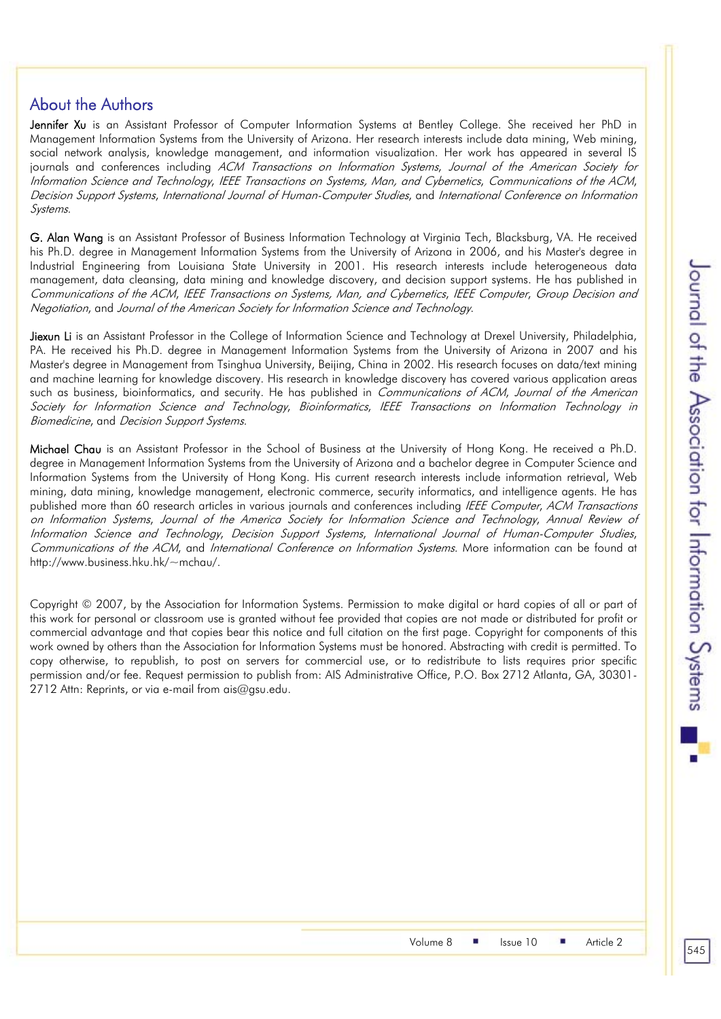# About the Authors

Jennifer Xu is an Assistant Professor of Computer Information Systems at Bentley College. She received her PhD in Management Information Systems from the University of Arizona. Her research interests include data mining, Web mining, social network analysis, knowledge management, and information visualization. Her work has appeared in several IS journals and conferences including ACM Transactions on Information Systems, Journal of the American Society for Information Science and Technology, IEEE Transactions on Systems, Man, and Cybernetics, Communications of the ACM, Decision Support Systems, International Journal of Human-Computer Studies, and International Conference on Information Systems.

G. Alan Wang is an Assistant Professor of Business Information Technology at Virginia Tech, Blacksburg, VA. He received his Ph.D. degree in Management Information Systems from the University of Arizona in 2006, and his Master's degree in Industrial Engineering from Louisiana State University in 2001. His research interests include heterogeneous data management, data cleansing, data mining and knowledge discovery, and decision support systems. He has published in Communications of the ACM, IEEE Transactions on Systems, Man, and Cybernetics, IEEE Computer, Group Decision and Negotiation, and Journal of the American Society for Information Science and Technology.

Jiexun Li is an Assistant Professor in the College of Information Science and Technology at Drexel University, Philadelphia, PA. He received his Ph.D. degree in Management Information Systems from the University of Arizona in 2007 and his Master's degree in Management from Tsinghua University, Beijing, China in 2002. His research focuses on data/text mining and machine learning for knowledge discovery. His research in knowledge discovery has covered various application areas such as business, bioinformatics, and security. He has published in Communications of ACM, Journal of the American Society for Information Science and Technology, Bioinformatics, IEEE Transactions on Information Technology in Biomedicine, and Decision Support Systems.

Michael Chau is an Assistant Professor in the School of Business at the University of Hong Kong. He received a Ph.D. degree in Management Information Systems from the University of Arizona and a bachelor degree in Computer Science and Information Systems from the University of Hong Kong. His current research interests include information retrieval, Web mining, data mining, knowledge management, electronic commerce, security informatics, and intelligence agents. He has published more than 60 research articles in various journals and conferences including IEEE Computer, ACM Transactions on Information Systems, Journal of the America Society for Information Science and Technology, Annual Review of Information Science and Technology, Decision Support Systems, International Journal of Human-Computer Studies, Communications of the ACM, and International Conference on Information Systems. More information can be found at http://www.business.hku.hk/~mchau/.

Copyright © 2007, by the Association for Information Systems. Permission to make digital or hard copies of all or part of this work for personal or classroom use is granted without fee provided that copies are not made or distributed for profit or commercial advantage and that copies bear this notice and full citation on the first page. Copyright for components of this work owned by others than the Association for Information Systems must be honored. Abstracting with credit is permitted. To copy otherwise, to republish, to post on servers for commercial use, or to redistribute to lists requires prior specific permission and/or fee. Request permission to publish from: AIS Administrative Office, P.O. Box 2712 Atlanta, GA, 30301- 2712 Attn: Reprints, or via e-mail from ais@gsu.edu.